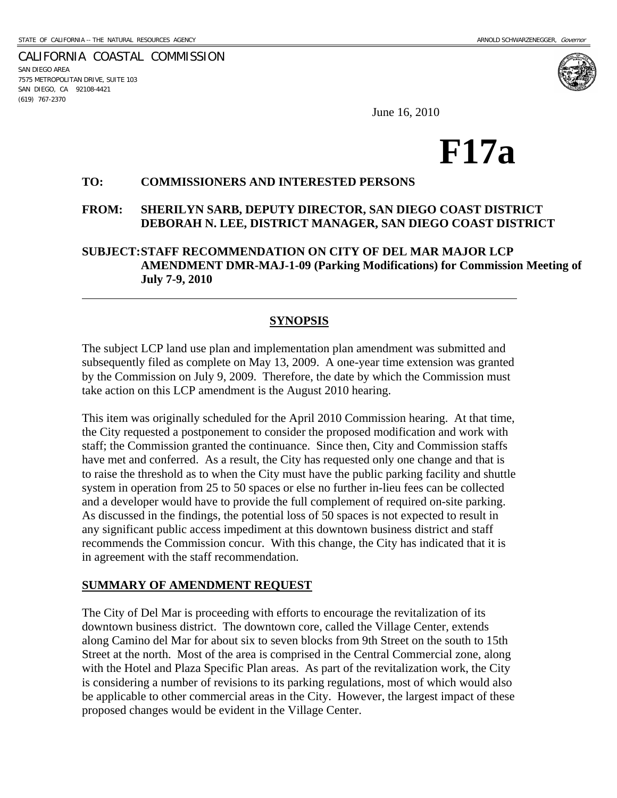CALIFORNIA COASTAL COMMISSION SAN DIEGO AREA 7575 METROPOLITAN DRIVE, SUITE 103 SAN DIEGO, CA 92108-4421 (619) 767-2370

 $\overline{a}$ 

June 16, 2010

# **F17a**

#### **TO: COMMISSIONERS AND INTERESTED PERSONS**

#### **FROM: SHERILYN SARB, DEPUTY DIRECTOR, SAN DIEGO COAST DISTRICT DEBORAH N. LEE, DISTRICT MANAGER, SAN DIEGO COAST DISTRICT**

## **SUBJECT: STAFF RECOMMENDATION ON CITY OF DEL MAR MAJOR LCP AMENDMENT DMR-MAJ-1-09 (Parking Modifications) for Commission Meeting of July 7-9, 2010**

## **SYNOPSIS**

The subject LCP land use plan and implementation plan amendment was submitted and subsequently filed as complete on May 13, 2009. A one-year time extension was granted by the Commission on July 9, 2009. Therefore, the date by which the Commission must take action on this LCP amendment is the August 2010 hearing.

This item was originally scheduled for the April 2010 Commission hearing. At that time, the City requested a postponement to consider the proposed modification and work with staff; the Commission granted the continuance. Since then, City and Commission staffs have met and conferred. As a result, the City has requested only one change and that is to raise the threshold as to when the City must have the public parking facility and shuttle system in operation from 25 to 50 spaces or else no further in-lieu fees can be collected and a developer would have to provide the full complement of required on-site parking. As discussed in the findings, the potential loss of 50 spaces is not expected to result in any significant public access impediment at this downtown business district and staff recommends the Commission concur. With this change, the City has indicated that it is in agreement with the staff recommendation.

#### **SUMMARY OF AMENDMENT REQUEST**

The City of Del Mar is proceeding with efforts to encourage the revitalization of its downtown business district. The downtown core, called the Village Center, extends along Camino del Mar for about six to seven blocks from 9th Street on the south to 15th Street at the north. Most of the area is comprised in the Central Commercial zone, along with the Hotel and Plaza Specific Plan areas. As part of the revitalization work, the City is considering a number of revisions to its parking regulations, most of which would also be applicable to other commercial areas in the City. However, the largest impact of these proposed changes would be evident in the Village Center.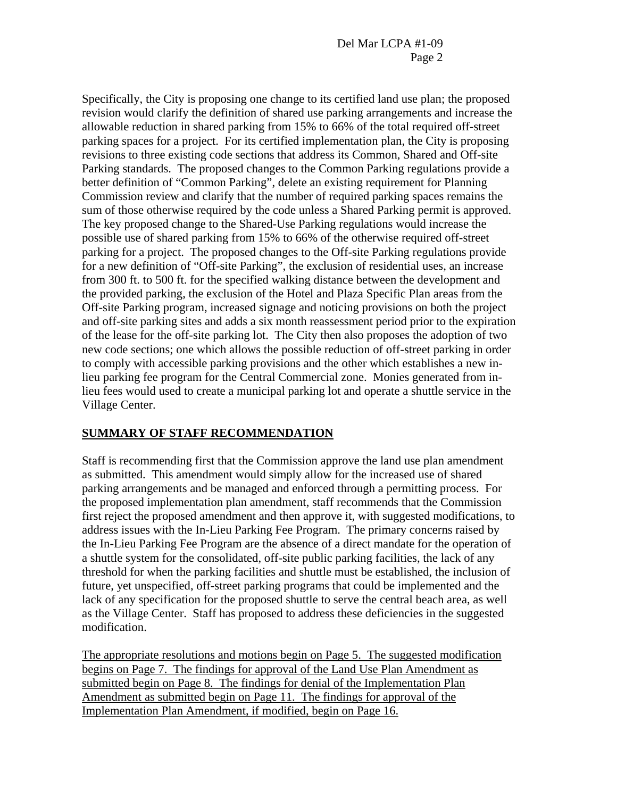Specifically, the City is proposing one change to its certified land use plan; the proposed revision would clarify the definition of shared use parking arrangements and increase the allowable reduction in shared parking from 15% to 66% of the total required off-street parking spaces for a project. For its certified implementation plan, the City is proposing revisions to three existing code sections that address its Common, Shared and Off-site Parking standards. The proposed changes to the Common Parking regulations provide a better definition of "Common Parking", delete an existing requirement for Planning Commission review and clarify that the number of required parking spaces remains the sum of those otherwise required by the code unless a Shared Parking permit is approved. The key proposed change to the Shared-Use Parking regulations would increase the possible use of shared parking from 15% to 66% of the otherwise required off-street parking for a project. The proposed changes to the Off-site Parking regulations provide for a new definition of "Off-site Parking", the exclusion of residential uses, an increase from 300 ft. to 500 ft. for the specified walking distance between the development and the provided parking, the exclusion of the Hotel and Plaza Specific Plan areas from the Off-site Parking program, increased signage and noticing provisions on both the project and off-site parking sites and adds a six month reassessment period prior to the expiration of the lease for the off-site parking lot. The City then also proposes the adoption of two new code sections; one which allows the possible reduction of off-street parking in order to comply with accessible parking provisions and the other which establishes a new inlieu parking fee program for the Central Commercial zone. Monies generated from inlieu fees would used to create a municipal parking lot and operate a shuttle service in the Village Center.

## **SUMMARY OF STAFF RECOMMENDATION**

Staff is recommending first that the Commission approve the land use plan amendment as submitted. This amendment would simply allow for the increased use of shared parking arrangements and be managed and enforced through a permitting process. For the proposed implementation plan amendment, staff recommends that the Commission first reject the proposed amendment and then approve it, with suggested modifications, to address issues with the In-Lieu Parking Fee Program. The primary concerns raised by the In-Lieu Parking Fee Program are the absence of a direct mandate for the operation of a shuttle system for the consolidated, off-site public parking facilities, the lack of any threshold for when the parking facilities and shuttle must be established, the inclusion of future, yet unspecified, off-street parking programs that could be implemented and the lack of any specification for the proposed shuttle to serve the central beach area, as well as the Village Center. Staff has proposed to address these deficiencies in the suggested modification.

The appropriate resolutions and motions begin on Page 5. The suggested modification begins on Page 7. The findings for approval of the Land Use Plan Amendment as submitted begin on Page 8. The findings for denial of the Implementation Plan Amendment as submitted begin on Page 11. The findings for approval of the Implementation Plan Amendment, if modified, begin on Page 16.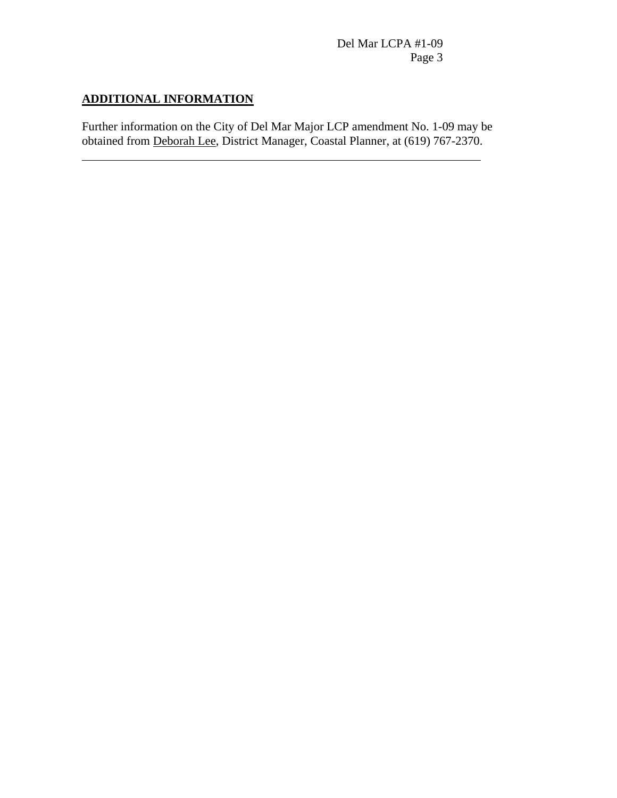# **ADDITIONAL INFORMATION**

 $\overline{a}$ 

Further information on the City of Del Mar Major LCP amendment No. 1-09 may be obtained from Deborah Lee, District Manager, Coastal Planner, at (619) 767-2370.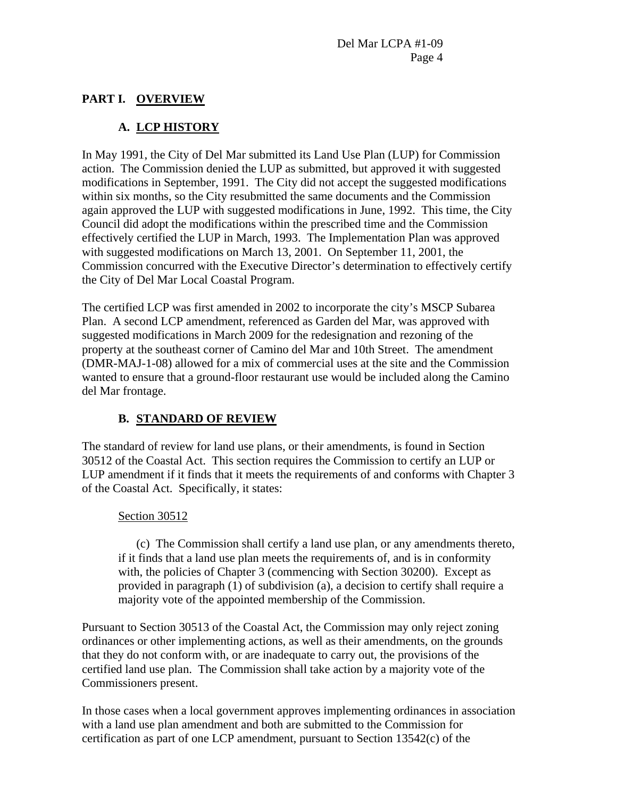# **PART I. OVERVIEW**

# **A. LCP HISTORY**

In May 1991, the City of Del Mar submitted its Land Use Plan (LUP) for Commission action. The Commission denied the LUP as submitted, but approved it with suggested modifications in September, 1991. The City did not accept the suggested modifications within six months, so the City resubmitted the same documents and the Commission again approved the LUP with suggested modifications in June, 1992. This time, the City Council did adopt the modifications within the prescribed time and the Commission effectively certified the LUP in March, 1993. The Implementation Plan was approved with suggested modifications on March 13, 2001. On September 11, 2001, the Commission concurred with the Executive Director's determination to effectively certify the City of Del Mar Local Coastal Program.

The certified LCP was first amended in 2002 to incorporate the city's MSCP Subarea Plan. A second LCP amendment, referenced as Garden del Mar, was approved with suggested modifications in March 2009 for the redesignation and rezoning of the property at the southeast corner of Camino del Mar and 10th Street. The amendment (DMR-MAJ-1-08) allowed for a mix of commercial uses at the site and the Commission wanted to ensure that a ground-floor restaurant use would be included along the Camino del Mar frontage.

# **B. STANDARD OF REVIEW**

The standard of review for land use plans, or their amendments, is found in Section 30512 of the Coastal Act. This section requires the Commission to certify an LUP or LUP amendment if it finds that it meets the requirements of and conforms with Chapter 3 of the Coastal Act. Specifically, it states:

## Section 30512

(c) The Commission shall certify a land use plan, or any amendments thereto, if it finds that a land use plan meets the requirements of, and is in conformity with, the policies of Chapter 3 (commencing with Section 30200). Except as provided in paragraph (1) of subdivision (a), a decision to certify shall require a majority vote of the appointed membership of the Commission.

Pursuant to Section 30513 of the Coastal Act, the Commission may only reject zoning ordinances or other implementing actions, as well as their amendments, on the grounds that they do not conform with, or are inadequate to carry out, the provisions of the certified land use plan. The Commission shall take action by a majority vote of the Commissioners present.

In those cases when a local government approves implementing ordinances in association with a land use plan amendment and both are submitted to the Commission for certification as part of one LCP amendment, pursuant to Section 13542(c) of the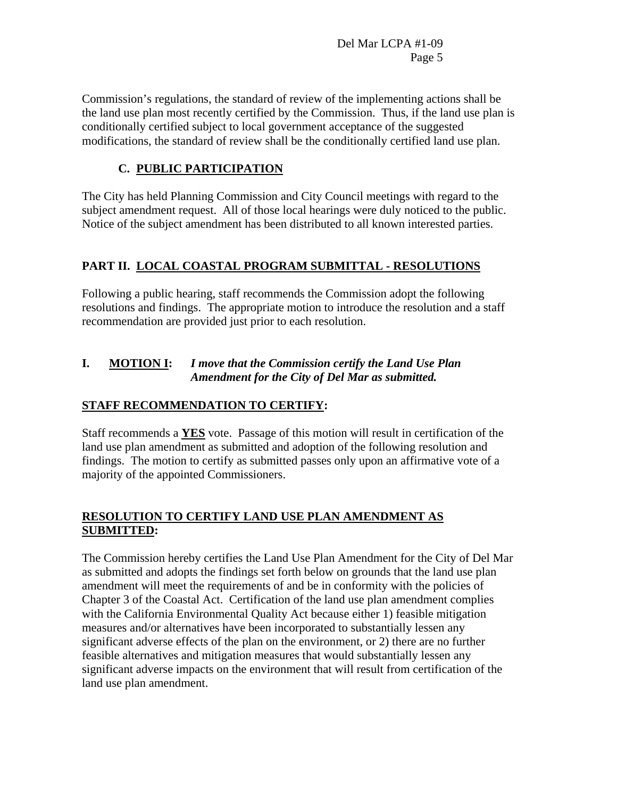Commission's regulations, the standard of review of the implementing actions shall be the land use plan most recently certified by the Commission. Thus, if the land use plan is conditionally certified subject to local government acceptance of the suggested modifications, the standard of review shall be the conditionally certified land use plan.

# **C. PUBLIC PARTICIPATION**

The City has held Planning Commission and City Council meetings with regard to the subject amendment request. All of those local hearings were duly noticed to the public. Notice of the subject amendment has been distributed to all known interested parties.

# **PART II. LOCAL COASTAL PROGRAM SUBMITTAL - RESOLUTIONS**

Following a public hearing, staff recommends the Commission adopt the following resolutions and findings. The appropriate motion to introduce the resolution and a staff recommendation are provided just prior to each resolution.

## **I. MOTION I:** *I move that the Commission certify the Land Use Plan Amendment for the City of Del Mar as submitted.*

## **STAFF RECOMMENDATION TO CERTIFY:**

Staff recommends a **YES** vote. Passage of this motion will result in certification of the land use plan amendment as submitted and adoption of the following resolution and findings. The motion to certify as submitted passes only upon an affirmative vote of a majority of the appointed Commissioners.

# **RESOLUTION TO CERTIFY LAND USE PLAN AMENDMENT AS SUBMITTED:**

The Commission hereby certifies the Land Use Plan Amendment for the City of Del Mar as submitted and adopts the findings set forth below on grounds that the land use plan amendment will meet the requirements of and be in conformity with the policies of Chapter 3 of the Coastal Act. Certification of the land use plan amendment complies with the California Environmental Quality Act because either 1) feasible mitigation measures and/or alternatives have been incorporated to substantially lessen any significant adverse effects of the plan on the environment, or 2) there are no further feasible alternatives and mitigation measures that would substantially lessen any significant adverse impacts on the environment that will result from certification of the land use plan amendment.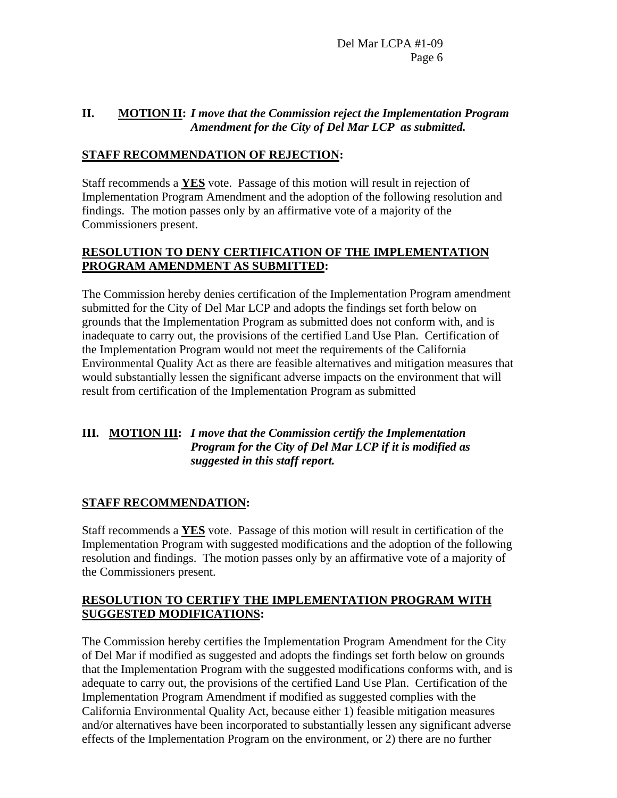### **II. MOTION II:** *I move that the Commission reject the Implementation Program Amendment for the City of Del Mar LCP as submitted.*

## **STAFF RECOMMENDATION OF REJECTION:**

Staff recommends a **YES** vote. Passage of this motion will result in rejection of Implementation Program Amendment and the adoption of the following resolution and findings. The motion passes only by an affirmative vote of a majority of the Commissioners present.

## **RESOLUTION TO DENY CERTIFICATION OF THE IMPLEMENTATION PROGRAM AMENDMENT AS SUBMITTED:**

The Commission hereby denies certification of the Implementation Program amendment submitted for the City of Del Mar LCP and adopts the findings set forth below on grounds that the Implementation Program as submitted does not conform with, and is inadequate to carry out, the provisions of the certified Land Use Plan. Certification of the Implementation Program would not meet the requirements of the California Environmental Quality Act as there are feasible alternatives and mitigation measures that would substantially lessen the significant adverse impacts on the environment that will result from certification of the Implementation Program as submitted

## **III. MOTION III:** *I move that the Commission certify the Implementation Program for the City of Del Mar LCP if it is modified as suggested in this staff report.*

## **STAFF RECOMMENDATION:**

Staff recommends a **YES** vote. Passage of this motion will result in certification of the Implementation Program with suggested modifications and the adoption of the following resolution and findings. The motion passes only by an affirmative vote of a majority of the Commissioners present.

## **RESOLUTION TO CERTIFY THE IMPLEMENTATION PROGRAM WITH SUGGESTED MODIFICATIONS:**

The Commission hereby certifies the Implementation Program Amendment for the City of Del Mar if modified as suggested and adopts the findings set forth below on grounds that the Implementation Program with the suggested modifications conforms with, and is adequate to carry out, the provisions of the certified Land Use Plan. Certification of the Implementation Program Amendment if modified as suggested complies with the California Environmental Quality Act, because either 1) feasible mitigation measures and/or alternatives have been incorporated to substantially lessen any significant adverse effects of the Implementation Program on the environment, or 2) there are no further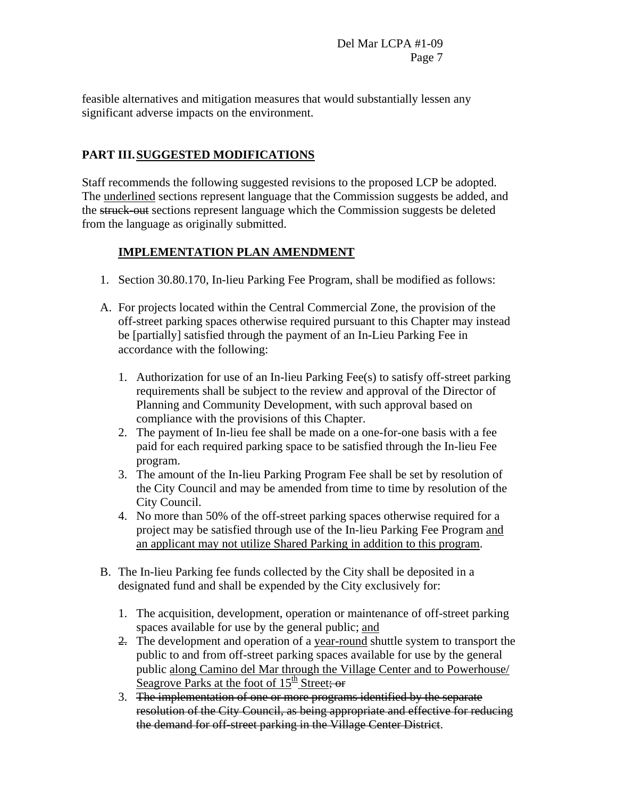feasible alternatives and mitigation measures that would substantially lessen any significant adverse impacts on the environment.

# **PART III. SUGGESTED MODIFICATIONS**

Staff recommends the following suggested revisions to the proposed LCP be adopted. The underlined sections represent language that the Commission suggests be added, and the struck-out sections represent language which the Commission suggests be deleted from the language as originally submitted.

# **IMPLEMENTATION PLAN AMENDMENT**

- 1. Section 30.80.170, In-lieu Parking Fee Program, shall be modified as follows:
- A. For projects located within the Central Commercial Zone, the provision of the off-street parking spaces otherwise required pursuant to this Chapter may instead be [partially] satisfied through the payment of an In-Lieu Parking Fee in accordance with the following:
	- 1. Authorization for use of an In-lieu Parking Fee(s) to satisfy off-street parking requirements shall be subject to the review and approval of the Director of Planning and Community Development, with such approval based on compliance with the provisions of this Chapter.
	- 2. The payment of In-lieu fee shall be made on a one-for-one basis with a fee paid for each required parking space to be satisfied through the In-lieu Fee program.
	- 3. The amount of the In-lieu Parking Program Fee shall be set by resolution of the City Council and may be amended from time to time by resolution of the City Council.
	- 4. No more than 50% of the off-street parking spaces otherwise required for a project may be satisfied through use of the In-lieu Parking Fee Program and an applicant may not utilize Shared Parking in addition to this program.
- B. The In-lieu Parking fee funds collected by the City shall be deposited in a designated fund and shall be expended by the City exclusively for:
	- 1. The acquisition, development, operation or maintenance of off-street parking spaces available for use by the general public; and
	- 2. The development and operation of a year-round shuttle system to transport the public to and from off-street parking spaces available for use by the general public along Camino del Mar through the Village Center and to Powerhouse/ Seagrove Parks at the foot of  $15<sup>th</sup>$  Street; or
	- 3. The implementation of one or more programs identified by the separate resolution of the City Council, as being appropriate and effective for reducing the demand for off-street parking in the Village Center District.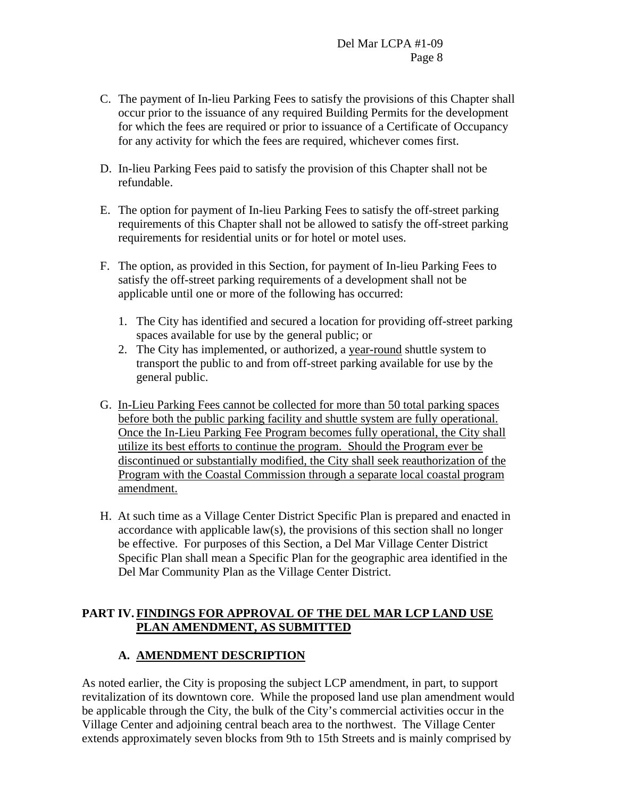- C. The payment of In-lieu Parking Fees to satisfy the provisions of this Chapter shall occur prior to the issuance of any required Building Permits for the development for which the fees are required or prior to issuance of a Certificate of Occupancy for any activity for which the fees are required, whichever comes first.
- D. In-lieu Parking Fees paid to satisfy the provision of this Chapter shall not be refundable.
- E. The option for payment of In-lieu Parking Fees to satisfy the off-street parking requirements of this Chapter shall not be allowed to satisfy the off-street parking requirements for residential units or for hotel or motel uses.
- F. The option, as provided in this Section, for payment of In-lieu Parking Fees to satisfy the off-street parking requirements of a development shall not be applicable until one or more of the following has occurred:
	- 1. The City has identified and secured a location for providing off-street parking spaces available for use by the general public; or
	- 2. The City has implemented, or authorized, a year-round shuttle system to transport the public to and from off-street parking available for use by the general public.
- G. In-Lieu Parking Fees cannot be collected for more than 50 total parking spaces before both the public parking facility and shuttle system are fully operational. Once the In-Lieu Parking Fee Program becomes fully operational, the City shall utilize its best efforts to continue the program. Should the Program ever be discontinued or substantially modified, the City shall seek reauthorization of the Program with the Coastal Commission through a separate local coastal program amendment.
- H. At such time as a Village Center District Specific Plan is prepared and enacted in accordance with applicable law(s), the provisions of this section shall no longer be effective. For purposes of this Section, a Del Mar Village Center District Specific Plan shall mean a Specific Plan for the geographic area identified in the Del Mar Community Plan as the Village Center District.

# **PART IV. FINDINGS FOR APPROVAL OF THE DEL MAR LCP LAND USE PLAN AMENDMENT, AS SUBMITTED**

# **A. AMENDMENT DESCRIPTION**

As noted earlier, the City is proposing the subject LCP amendment, in part, to support revitalization of its downtown core. While the proposed land use plan amendment would be applicable through the City, the bulk of the City's commercial activities occur in the Village Center and adjoining central beach area to the northwest. The Village Center extends approximately seven blocks from 9th to 15th Streets and is mainly comprised by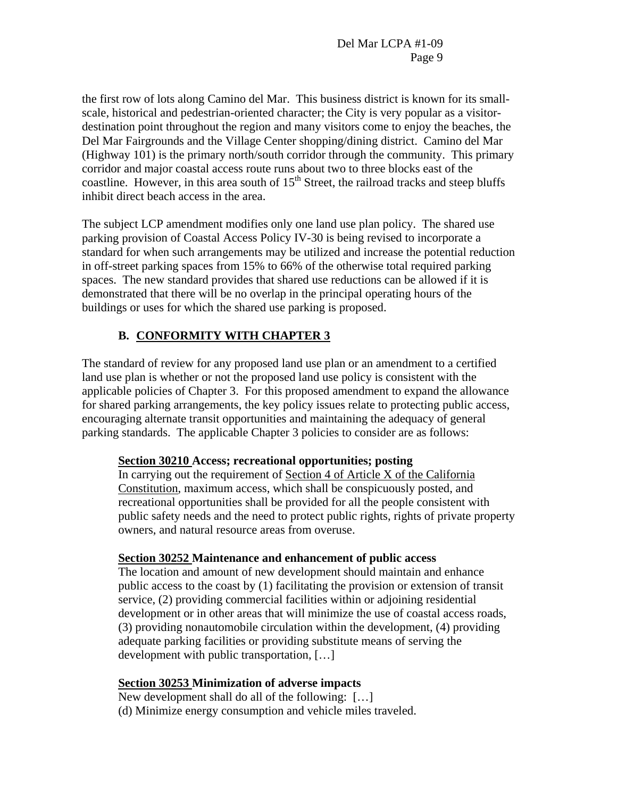the first row of lots along Camino del Mar. This business district is known for its smallscale, historical and pedestrian-oriented character; the City is very popular as a visitordestination point throughout the region and many visitors come to enjoy the beaches, the Del Mar Fairgrounds and the Village Center shopping/dining district. Camino del Mar (Highway 101) is the primary north/south corridor through the community. This primary corridor and major coastal access route runs about two to three blocks east of the coastline. However, in this area south of  $15<sup>th</sup>$  Street, the railroad tracks and steep bluffs inhibit direct beach access in the area.

The subject LCP amendment modifies only one land use plan policy. The shared use parking provision of Coastal Access Policy IV-30 is being revised to incorporate a standard for when such arrangements may be utilized and increase the potential reduction in off-street parking spaces from 15% to 66% of the otherwise total required parking spaces. The new standard provides that shared use reductions can be allowed if it is demonstrated that there will be no overlap in the principal operating hours of the buildings or uses for which the shared use parking is proposed.

# **B. CONFORMITY WITH CHAPTER 3**

The standard of review for any proposed land use plan or an amendment to a certified land use plan is whether or not the proposed land use policy is consistent with the applicable policies of Chapter 3. For this proposed amendment to expand the allowance for shared parking arrangements, the key policy issues relate to protecting public access, encouraging alternate transit opportunities and maintaining the adequacy of general parking standards. The applicable Chapter 3 policies to consider are as follows:

#### **Section 30210 Access; recreational opportunities; posting**

In carrying out the requirement of Section 4 of Article X of the California Constitution, maximum access, which shall be conspicuously posted, and recreational opportunities shall be provided for all the people consistent with public safety needs and the need to protect public rights, rights of private property owners, and natural resource areas from overuse.

#### **Section 30252 Maintenance and enhancement of public access**

The location and amount of new development should maintain and enhance public access to the coast by (1) facilitating the provision or extension of transit service, (2) providing commercial facilities within or adjoining residential development or in other areas that will minimize the use of coastal access roads, (3) providing nonautomobile circulation within the development, (4) providing adequate parking facilities or providing substitute means of serving the development with public transportation, […]

#### **Section 30253 Minimization of adverse impacts**

New development shall do all of the following: […] (d) Minimize energy consumption and vehicle miles traveled.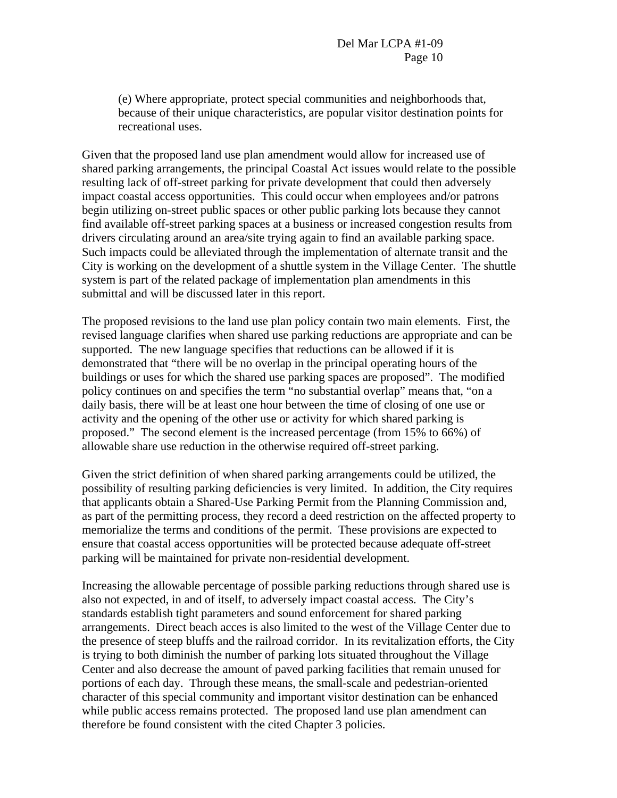(e) Where appropriate, protect special communities and neighborhoods that, because of their unique characteristics, are popular visitor destination points for recreational uses.

Given that the proposed land use plan amendment would allow for increased use of shared parking arrangements, the principal Coastal Act issues would relate to the possible resulting lack of off-street parking for private development that could then adversely impact coastal access opportunities. This could occur when employees and/or patrons begin utilizing on-street public spaces or other public parking lots because they cannot find available off-street parking spaces at a business or increased congestion results from drivers circulating around an area/site trying again to find an available parking space. Such impacts could be alleviated through the implementation of alternate transit and the City is working on the development of a shuttle system in the Village Center. The shuttle system is part of the related package of implementation plan amendments in this submittal and will be discussed later in this report.

The proposed revisions to the land use plan policy contain two main elements. First, the revised language clarifies when shared use parking reductions are appropriate and can be supported. The new language specifies that reductions can be allowed if it is demonstrated that "there will be no overlap in the principal operating hours of the buildings or uses for which the shared use parking spaces are proposed". The modified policy continues on and specifies the term "no substantial overlap" means that, "on a daily basis, there will be at least one hour between the time of closing of one use or activity and the opening of the other use or activity for which shared parking is proposed." The second element is the increased percentage (from 15% to 66%) of allowable share use reduction in the otherwise required off-street parking.

Given the strict definition of when shared parking arrangements could be utilized, the possibility of resulting parking deficiencies is very limited. In addition, the City requires that applicants obtain a Shared-Use Parking Permit from the Planning Commission and, as part of the permitting process, they record a deed restriction on the affected property to memorialize the terms and conditions of the permit. These provisions are expected to ensure that coastal access opportunities will be protected because adequate off-street parking will be maintained for private non-residential development.

Increasing the allowable percentage of possible parking reductions through shared use is also not expected, in and of itself, to adversely impact coastal access. The City's standards establish tight parameters and sound enforcement for shared parking arrangements. Direct beach acces is also limited to the west of the Village Center due to the presence of steep bluffs and the railroad corridor. In its revitalization efforts, the City is trying to both diminish the number of parking lots situated throughout the Village Center and also decrease the amount of paved parking facilities that remain unused for portions of each day. Through these means, the small-scale and pedestrian-oriented character of this special community and important visitor destination can be enhanced while public access remains protected. The proposed land use plan amendment can therefore be found consistent with the cited Chapter 3 policies.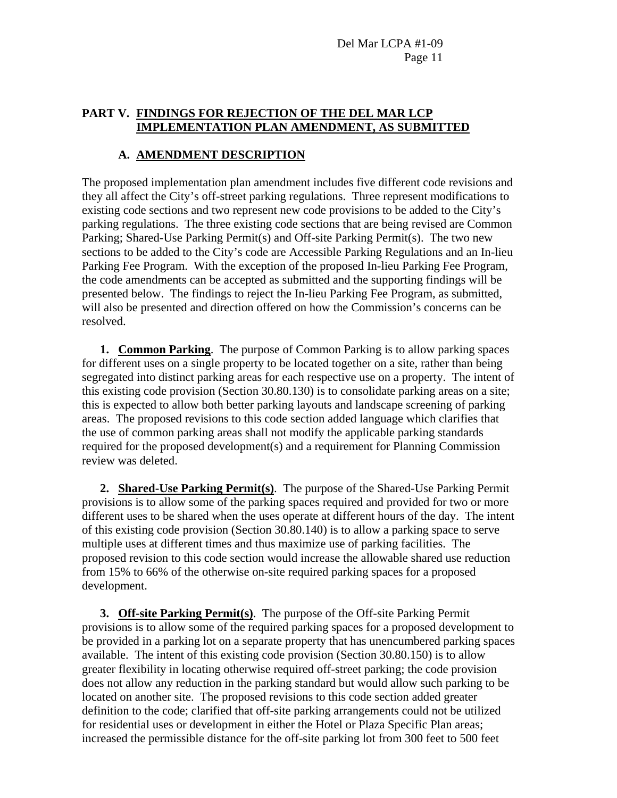#### **PART V. FINDINGS FOR REJECTION OF THE DEL MAR LCP IMPLEMENTATION PLAN AMENDMENT, AS SUBMITTED**

## **A. AMENDMENT DESCRIPTION**

The proposed implementation plan amendment includes five different code revisions and they all affect the City's off-street parking regulations. Three represent modifications to existing code sections and two represent new code provisions to be added to the City's parking regulations. The three existing code sections that are being revised are Common Parking; Shared-Use Parking Permit(s) and Off-site Parking Permit(s). The two new sections to be added to the City's code are Accessible Parking Regulations and an In-lieu Parking Fee Program. With the exception of the proposed In-lieu Parking Fee Program, the code amendments can be accepted as submitted and the supporting findings will be presented below. The findings to reject the In-lieu Parking Fee Program, as submitted, will also be presented and direction offered on how the Commission's concerns can be resolved.

**1. Common Parking**. The purpose of Common Parking is to allow parking spaces for different uses on a single property to be located together on a site, rather than being segregated into distinct parking areas for each respective use on a property. The intent of this existing code provision (Section 30.80.130) is to consolidate parking areas on a site; this is expected to allow both better parking layouts and landscape screening of parking areas. The proposed revisions to this code section added language which clarifies that the use of common parking areas shall not modify the applicable parking standards required for the proposed development(s) and a requirement for Planning Commission review was deleted.

**2. Shared-Use Parking Permit(s)**. The purpose of the Shared-Use Parking Permit provisions is to allow some of the parking spaces required and provided for two or more different uses to be shared when the uses operate at different hours of the day. The intent of this existing code provision (Section 30.80.140) is to allow a parking space to serve multiple uses at different times and thus maximize use of parking facilities. The proposed revision to this code section would increase the allowable shared use reduction from 15% to 66% of the otherwise on-site required parking spaces for a proposed development.

**3. Off-site Parking Permit(s)**. The purpose of the Off-site Parking Permit provisions is to allow some of the required parking spaces for a proposed development to be provided in a parking lot on a separate property that has unencumbered parking spaces available. The intent of this existing code provision (Section 30.80.150) is to allow greater flexibility in locating otherwise required off-street parking; the code provision does not allow any reduction in the parking standard but would allow such parking to be located on another site. The proposed revisions to this code section added greater definition to the code; clarified that off-site parking arrangements could not be utilized for residential uses or development in either the Hotel or Plaza Specific Plan areas; increased the permissible distance for the off-site parking lot from 300 feet to 500 feet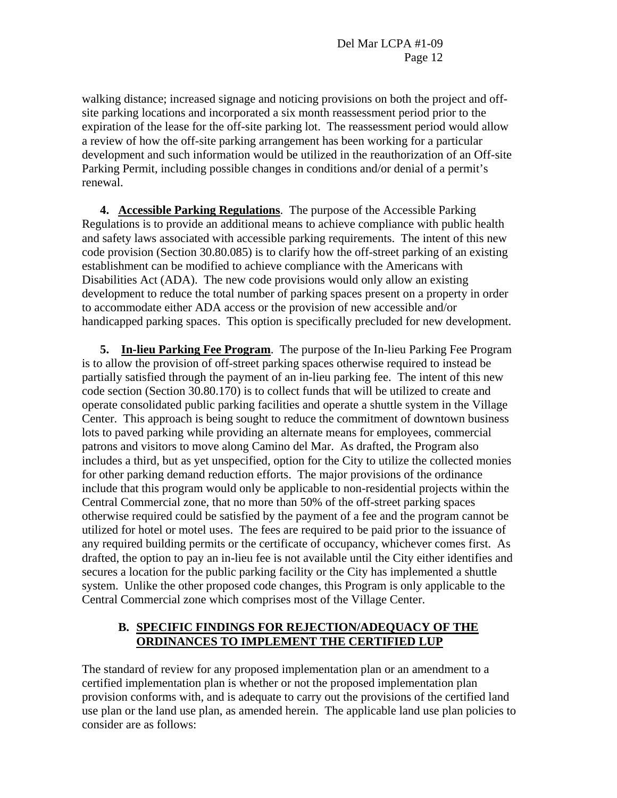walking distance; increased signage and noticing provisions on both the project and offsite parking locations and incorporated a six month reassessment period prior to the expiration of the lease for the off-site parking lot. The reassessment period would allow a review of how the off-site parking arrangement has been working for a particular development and such information would be utilized in the reauthorization of an Off-site Parking Permit, including possible changes in conditions and/or denial of a permit's renewal.

**4. Accessible Parking Regulations**. The purpose of the Accessible Parking Regulations is to provide an additional means to achieve compliance with public health and safety laws associated with accessible parking requirements. The intent of this new code provision (Section 30.80.085) is to clarify how the off-street parking of an existing establishment can be modified to achieve compliance with the Americans with Disabilities Act (ADA). The new code provisions would only allow an existing development to reduce the total number of parking spaces present on a property in order to accommodate either ADA access or the provision of new accessible and/or handicapped parking spaces. This option is specifically precluded for new development.

**5. In-lieu Parking Fee Program**. The purpose of the In-lieu Parking Fee Program is to allow the provision of off-street parking spaces otherwise required to instead be partially satisfied through the payment of an in-lieu parking fee. The intent of this new code section (Section 30.80.170) is to collect funds that will be utilized to create and operate consolidated public parking facilities and operate a shuttle system in the Village Center. This approach is being sought to reduce the commitment of downtown business lots to paved parking while providing an alternate means for employees, commercial patrons and visitors to move along Camino del Mar. As drafted, the Program also includes a third, but as yet unspecified, option for the City to utilize the collected monies for other parking demand reduction efforts. The major provisions of the ordinance include that this program would only be applicable to non-residential projects within the Central Commercial zone, that no more than 50% of the off-street parking spaces otherwise required could be satisfied by the payment of a fee and the program cannot be utilized for hotel or motel uses. The fees are required to be paid prior to the issuance of any required building permits or the certificate of occupancy, whichever comes first. As drafted, the option to pay an in-lieu fee is not available until the City either identifies and secures a location for the public parking facility or the City has implemented a shuttle system. Unlike the other proposed code changes, this Program is only applicable to the Central Commercial zone which comprises most of the Village Center.

## **B. SPECIFIC FINDINGS FOR REJECTION/ADEQUACY OF THE ORDINANCES TO IMPLEMENT THE CERTIFIED LUP**

The standard of review for any proposed implementation plan or an amendment to a certified implementation plan is whether or not the proposed implementation plan provision conforms with, and is adequate to carry out the provisions of the certified land use plan or the land use plan, as amended herein. The applicable land use plan policies to consider are as follows: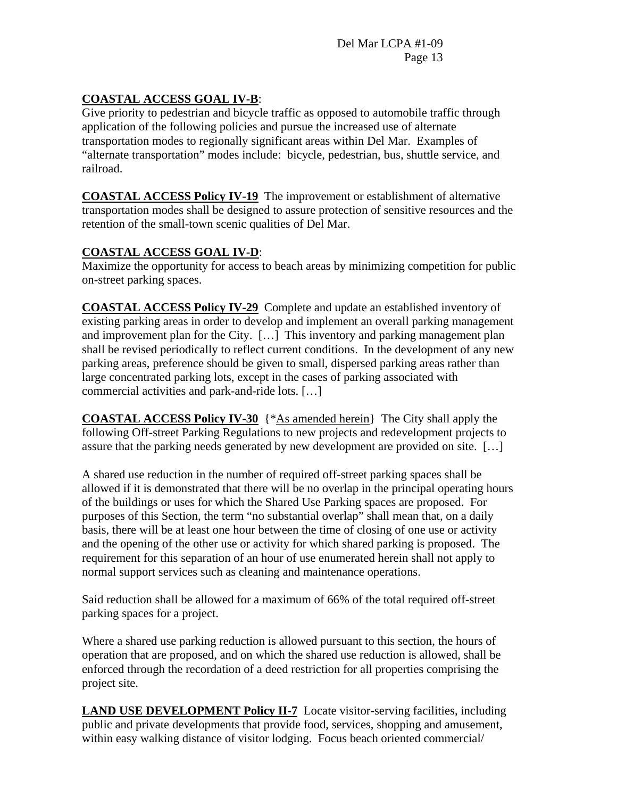# **COASTAL ACCESS GOAL IV-B**:

Give priority to pedestrian and bicycle traffic as opposed to automobile traffic through application of the following policies and pursue the increased use of alternate transportation modes to regionally significant areas within Del Mar. Examples of "alternate transportation" modes include: bicycle, pedestrian, bus, shuttle service, and railroad.

**COASTAL ACCESS Policy IV-19** The improvement or establishment of alternative transportation modes shall be designed to assure protection of sensitive resources and the retention of the small-town scenic qualities of Del Mar.

# **COASTAL ACCESS GOAL IV-D**:

Maximize the opportunity for access to beach areas by minimizing competition for public on-street parking spaces.

**COASTAL ACCESS Policy IV-29** Complete and update an established inventory of existing parking areas in order to develop and implement an overall parking management and improvement plan for the City. […] This inventory and parking management plan shall be revised periodically to reflect current conditions. In the development of any new parking areas, preference should be given to small, dispersed parking areas rather than large concentrated parking lots, except in the cases of parking associated with commercial activities and park-and-ride lots. […]

**COASTAL ACCESS Policy IV-30** {\*As amended herein} The City shall apply the following Off-street Parking Regulations to new projects and redevelopment projects to assure that the parking needs generated by new development are provided on site. […]

A shared use reduction in the number of required off-street parking spaces shall be allowed if it is demonstrated that there will be no overlap in the principal operating hours of the buildings or uses for which the Shared Use Parking spaces are proposed. For purposes of this Section, the term "no substantial overlap" shall mean that, on a daily basis, there will be at least one hour between the time of closing of one use or activity and the opening of the other use or activity for which shared parking is proposed. The requirement for this separation of an hour of use enumerated herein shall not apply to normal support services such as cleaning and maintenance operations.

Said reduction shall be allowed for a maximum of 66% of the total required off-street parking spaces for a project.

Where a shared use parking reduction is allowed pursuant to this section, the hours of operation that are proposed, and on which the shared use reduction is allowed, shall be enforced through the recordation of a deed restriction for all properties comprising the project site.

**LAND USE DEVELOPMENT Policy II-7** Locate visitor-serving facilities, including public and private developments that provide food, services, shopping and amusement, within easy walking distance of visitor lodging. Focus beach oriented commercial/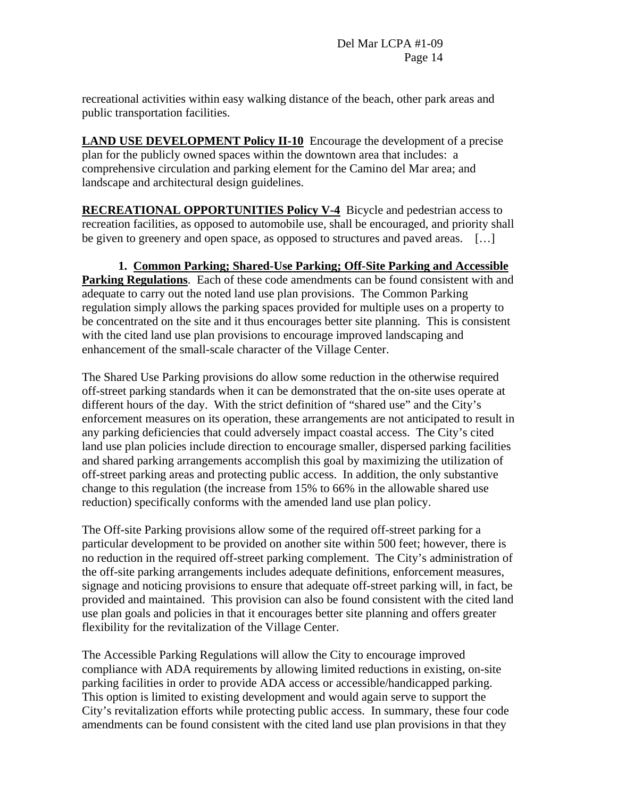recreational activities within easy walking distance of the beach, other park areas and public transportation facilities.

**LAND USE DEVELOPMENT Policy II-10** Encourage the development of a precise plan for the publicly owned spaces within the downtown area that includes: a comprehensive circulation and parking element for the Camino del Mar area; and landscape and architectural design guidelines.

**RECREATIONAL OPPORTUNITIES Policy V-4** Bicycle and pedestrian access to recreation facilities, as opposed to automobile use, shall be encouraged, and priority shall be given to greenery and open space, as opposed to structures and paved areas. [...]

**1. Common Parking; Shared-Use Parking; Off-Site Parking and Accessible Parking Regulations**. Each of these code amendments can be found consistent with and adequate to carry out the noted land use plan provisions. The Common Parking regulation simply allows the parking spaces provided for multiple uses on a property to be concentrated on the site and it thus encourages better site planning. This is consistent with the cited land use plan provisions to encourage improved landscaping and enhancement of the small-scale character of the Village Center.

The Shared Use Parking provisions do allow some reduction in the otherwise required off-street parking standards when it can be demonstrated that the on-site uses operate at different hours of the day. With the strict definition of "shared use" and the City's enforcement measures on its operation, these arrangements are not anticipated to result in any parking deficiencies that could adversely impact coastal access. The City's cited land use plan policies include direction to encourage smaller, dispersed parking facilities and shared parking arrangements accomplish this goal by maximizing the utilization of off-street parking areas and protecting public access. In addition, the only substantive change to this regulation (the increase from 15% to 66% in the allowable shared use reduction) specifically conforms with the amended land use plan policy.

The Off-site Parking provisions allow some of the required off-street parking for a particular development to be provided on another site within 500 feet; however, there is no reduction in the required off-street parking complement. The City's administration of the off-site parking arrangements includes adequate definitions, enforcement measures, signage and noticing provisions to ensure that adequate off-street parking will, in fact, be provided and maintained. This provision can also be found consistent with the cited land use plan goals and policies in that it encourages better site planning and offers greater flexibility for the revitalization of the Village Center.

The Accessible Parking Regulations will allow the City to encourage improved compliance with ADA requirements by allowing limited reductions in existing, on-site parking facilities in order to provide ADA access or accessible/handicapped parking. This option is limited to existing development and would again serve to support the City's revitalization efforts while protecting public access. In summary, these four code amendments can be found consistent with the cited land use plan provisions in that they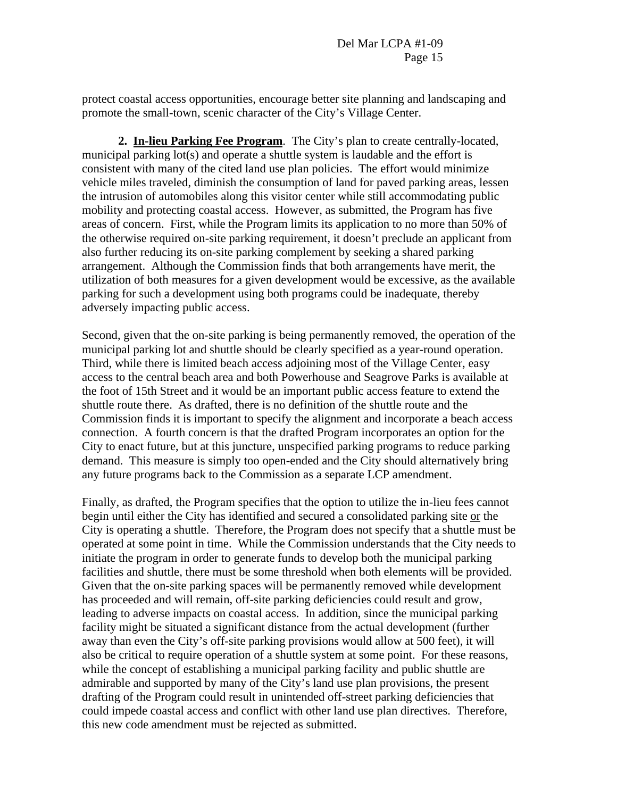protect coastal access opportunities, encourage better site planning and landscaping and promote the small-town, scenic character of the City's Village Center.

**2. In-lieu Parking Fee Program**. The City's plan to create centrally-located, municipal parking lot(s) and operate a shuttle system is laudable and the effort is consistent with many of the cited land use plan policies. The effort would minimize vehicle miles traveled, diminish the consumption of land for paved parking areas, lessen the intrusion of automobiles along this visitor center while still accommodating public mobility and protecting coastal access. However, as submitted, the Program has five areas of concern. First, while the Program limits its application to no more than 50% of the otherwise required on-site parking requirement, it doesn't preclude an applicant from also further reducing its on-site parking complement by seeking a shared parking arrangement. Although the Commission finds that both arrangements have merit, the utilization of both measures for a given development would be excessive, as the available parking for such a development using both programs could be inadequate, thereby adversely impacting public access.

Second, given that the on-site parking is being permanently removed, the operation of the municipal parking lot and shuttle should be clearly specified as a year-round operation. Third, while there is limited beach access adjoining most of the Village Center, easy access to the central beach area and both Powerhouse and Seagrove Parks is available at the foot of 15th Street and it would be an important public access feature to extend the shuttle route there. As drafted, there is no definition of the shuttle route and the Commission finds it is important to specify the alignment and incorporate a beach access connection. A fourth concern is that the drafted Program incorporates an option for the City to enact future, but at this juncture, unspecified parking programs to reduce parking demand. This measure is simply too open-ended and the City should alternatively bring any future programs back to the Commission as a separate LCP amendment.

Finally, as drafted, the Program specifies that the option to utilize the in-lieu fees cannot begin until either the City has identified and secured a consolidated parking site or the City is operating a shuttle. Therefore, the Program does not specify that a shuttle must be operated at some point in time. While the Commission understands that the City needs to initiate the program in order to generate funds to develop both the municipal parking facilities and shuttle, there must be some threshold when both elements will be provided. Given that the on-site parking spaces will be permanently removed while development has proceeded and will remain, off-site parking deficiencies could result and grow, leading to adverse impacts on coastal access. In addition, since the municipal parking facility might be situated a significant distance from the actual development (further away than even the City's off-site parking provisions would allow at 500 feet), it will also be critical to require operation of a shuttle system at some point. For these reasons, while the concept of establishing a municipal parking facility and public shuttle are admirable and supported by many of the City's land use plan provisions, the present drafting of the Program could result in unintended off-street parking deficiencies that could impede coastal access and conflict with other land use plan directives. Therefore, this new code amendment must be rejected as submitted.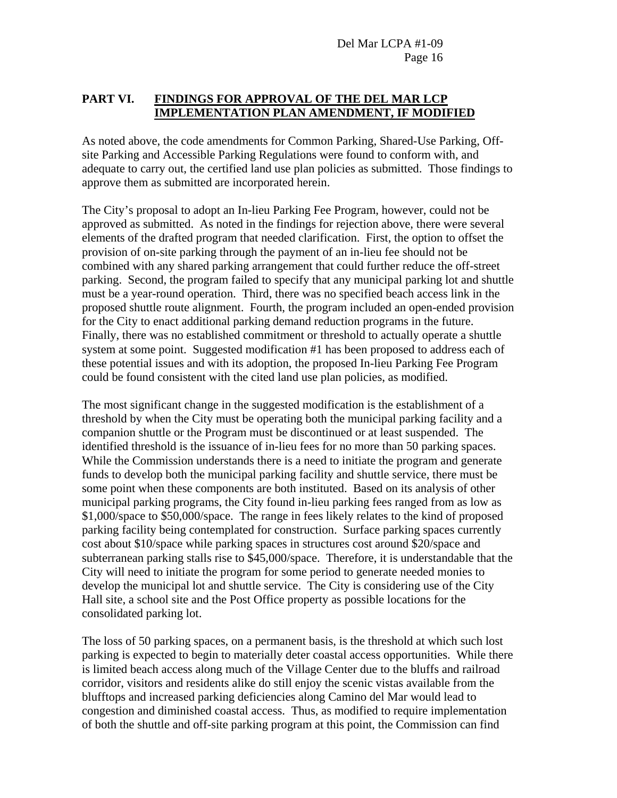## **PART VI. FINDINGS FOR APPROVAL OF THE DEL MAR LCP IMPLEMENTATION PLAN AMENDMENT, IF MODIFIED**

As noted above, the code amendments for Common Parking, Shared-Use Parking, Offsite Parking and Accessible Parking Regulations were found to conform with, and adequate to carry out, the certified land use plan policies as submitted. Those findings to approve them as submitted are incorporated herein.

The City's proposal to adopt an In-lieu Parking Fee Program, however, could not be approved as submitted. As noted in the findings for rejection above, there were several elements of the drafted program that needed clarification. First, the option to offset the provision of on-site parking through the payment of an in-lieu fee should not be combined with any shared parking arrangement that could further reduce the off-street parking. Second, the program failed to specify that any municipal parking lot and shuttle must be a year-round operation. Third, there was no specified beach access link in the proposed shuttle route alignment. Fourth, the program included an open-ended provision for the City to enact additional parking demand reduction programs in the future. Finally, there was no established commitment or threshold to actually operate a shuttle system at some point. Suggested modification #1 has been proposed to address each of these potential issues and with its adoption, the proposed In-lieu Parking Fee Program could be found consistent with the cited land use plan policies, as modified.

The most significant change in the suggested modification is the establishment of a threshold by when the City must be operating both the municipal parking facility and a companion shuttle or the Program must be discontinued or at least suspended. The identified threshold is the issuance of in-lieu fees for no more than 50 parking spaces. While the Commission understands there is a need to initiate the program and generate funds to develop both the municipal parking facility and shuttle service, there must be some point when these components are both instituted. Based on its analysis of other municipal parking programs, the City found in-lieu parking fees ranged from as low as \$1,000/space to \$50,000/space. The range in fees likely relates to the kind of proposed parking facility being contemplated for construction. Surface parking spaces currently cost about \$10/space while parking spaces in structures cost around \$20/space and subterranean parking stalls rise to \$45,000/space. Therefore, it is understandable that the City will need to initiate the program for some period to generate needed monies to develop the municipal lot and shuttle service. The City is considering use of the City Hall site, a school site and the Post Office property as possible locations for the consolidated parking lot.

The loss of 50 parking spaces, on a permanent basis, is the threshold at which such lost parking is expected to begin to materially deter coastal access opportunities. While there is limited beach access along much of the Village Center due to the bluffs and railroad corridor, visitors and residents alike do still enjoy the scenic vistas available from the blufftops and increased parking deficiencies along Camino del Mar would lead to congestion and diminished coastal access. Thus, as modified to require implementation of both the shuttle and off-site parking program at this point, the Commission can find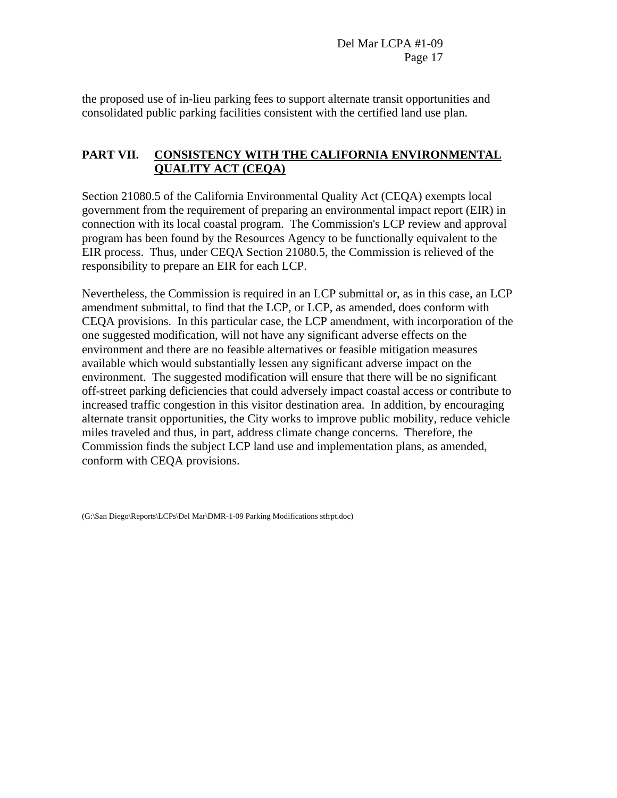the proposed use of in-lieu parking fees to support alternate transit opportunities and consolidated public parking facilities consistent with the certified land use plan.

## **PART VII. CONSISTENCY WITH THE CALIFORNIA ENVIRONMENTAL QUALITY ACT (CEQA)**

Section 21080.5 of the California Environmental Quality Act (CEQA) exempts local government from the requirement of preparing an environmental impact report (EIR) in connection with its local coastal program. The Commission's LCP review and approval program has been found by the Resources Agency to be functionally equivalent to the EIR process. Thus, under CEQA Section 21080.5, the Commission is relieved of the responsibility to prepare an EIR for each LCP.

Nevertheless, the Commission is required in an LCP submittal or, as in this case, an LCP amendment submittal, to find that the LCP, or LCP, as amended, does conform with CEQA provisions. In this particular case, the LCP amendment, with incorporation of the one suggested modification, will not have any significant adverse effects on the environment and there are no feasible alternatives or feasible mitigation measures available which would substantially lessen any significant adverse impact on the environment. The suggested modification will ensure that there will be no significant off-street parking deficiencies that could adversely impact coastal access or contribute to increased traffic congestion in this visitor destination area. In addition, by encouraging alternate transit opportunities, the City works to improve public mobility, reduce vehicle miles traveled and thus, in part, address climate change concerns. Therefore, the Commission finds the subject LCP land use and implementation plans, as amended, conform with CEQA provisions.

(G:\San Diego\Reports\LCPs\Del Mar\DMR-1-09 Parking Modifications stfrpt.doc)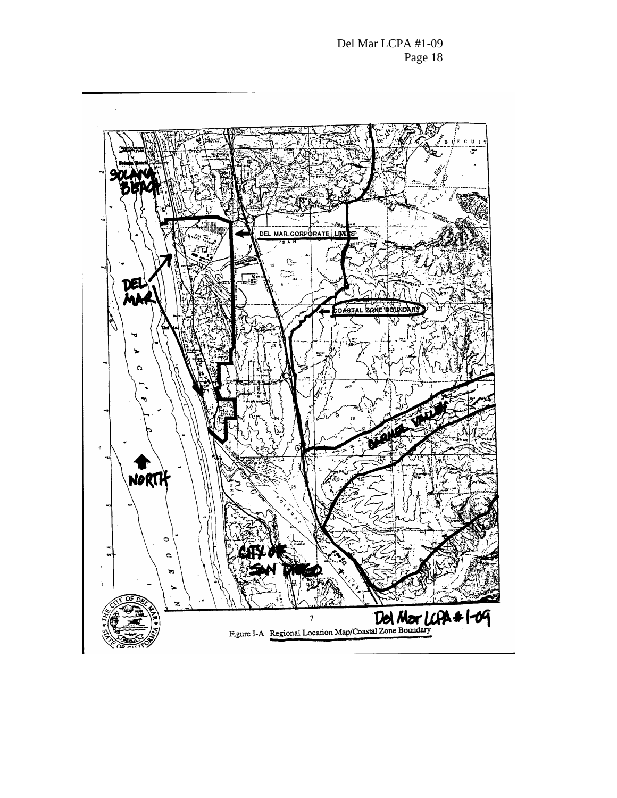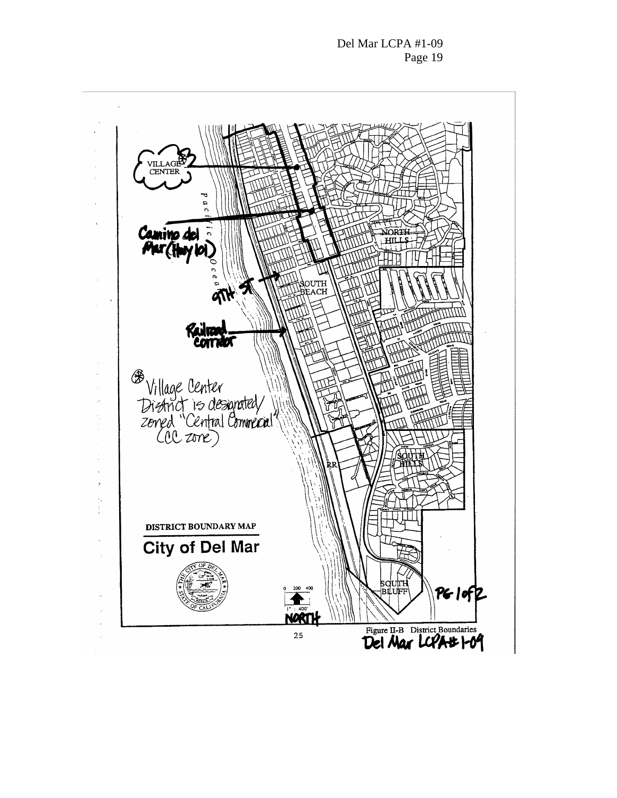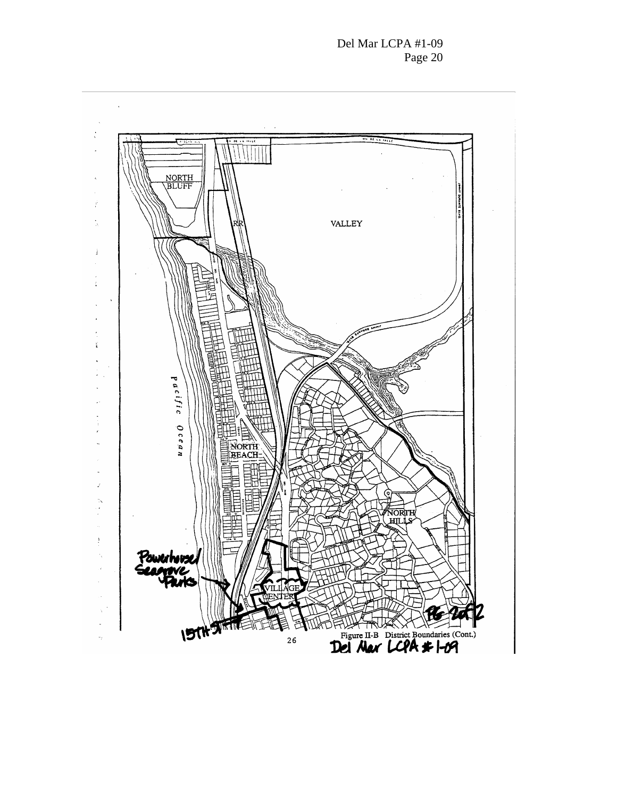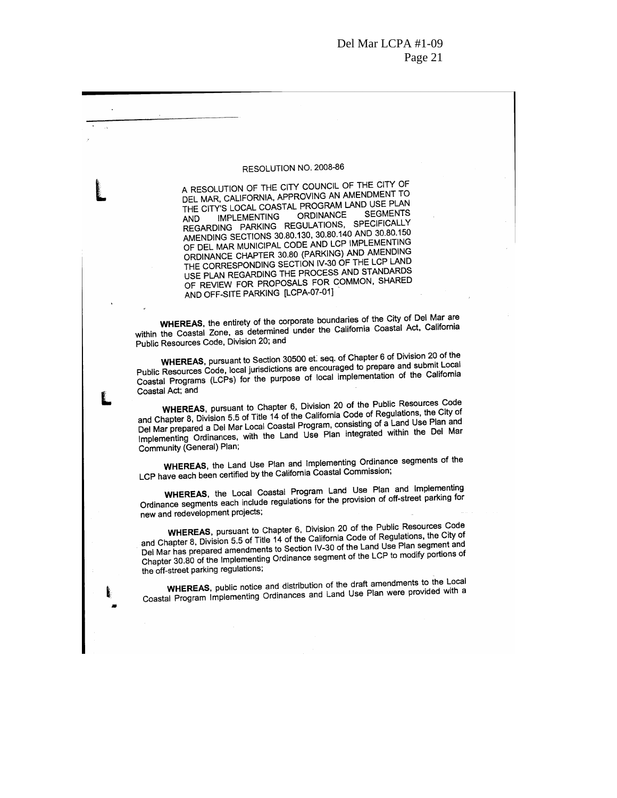#### RESOLUTION NO. 2008-86

A RESOLUTION OF THE CITY COUNCIL OF THE CITY OF DEL MAR, CALIFORNIA, APPROVING AN AMENDMENT TO THE CITY'S LOCAL COASTAL PROGRAM LAND USE PLAN **SEGMENTS ORDINANCE IMPLEMENTING AND** REGARDING PARKING REGULATIONS, SPECIFICALLY AMENDING SECTIONS 30.80.130, 30.80.140 AND 30.80.150 OF DEL MAR MUNICIPAL CODE AND LCP IMPLEMENTING ORDINANCE CHAPTER 30.80 (PARKING) AND AMENDING THE CORRESPONDING SECTION IV-30 OF THE LCP LAND USE PLAN REGARDING THE PROCESS AND STANDARDS OF REVIEW FOR PROPOSALS FOR COMMON, SHARED AND OFF-SITE PARKING [LCPA-07-01]

WHEREAS, the entirety of the corporate boundaries of the City of Del Mar are within the Coastal Zone, as determined under the California Coastal Act, California Public Resources Code, Division 20; and

WHEREAS, pursuant to Section 30500 et. seq. of Chapter 6 of Division 20 of the Public Resources Code, local jurisdictions are encouraged to prepare and submit Local Coastal Programs (LCPs) for the purpose of local implementation of the California Coastal Act; and

WHEREAS, pursuant to Chapter 6, Division 20 of the Public Resources Code and Chapter 8, Division 5.5 of Title 14 of the California Code of Regulations, the City of Del Mar prepared a Del Mar Local Coastal Program, consisting of a Land Use Plan and Implementing Ordinances, with the Land Use Plan integrated within the Del Mar Community (General) Plan;

WHEREAS, the Land Use Plan and Implementing Ordinance segments of the LCP have each been certified by the California Coastal Commission;

WHEREAS, the Local Coastal Program Land Use Plan and Implementing Ordinance segments each include regulations for the provision of off-street parking for new and redevelopment projects;

WHEREAS, pursuant to Chapter 6, Division 20 of the Public Resources Code and Chapter 8, Division 5.5 of Title 14 of the California Code of Regulations, the City of Del Mar has prepared amendments to Section IV-30 of the Land Use Plan segment and Chapter 30.80 of the Implementing Ordinance segment of the LCP to modify portions of the off-street parking regulations;

WHEREAS, public notice and distribution of the draft amendments to the Local Coastal Program Implementing Ordinances and Land Use Plan were provided with a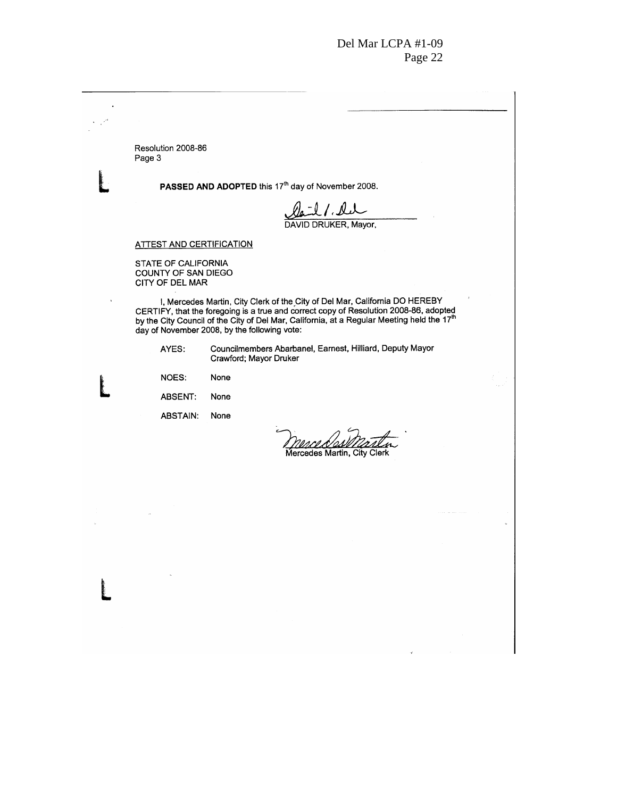$\overline{a}$ Resolution 2008-86 Page 3 PASSED AND ADOPTED this 17<sup>th</sup> day of November 2008. <u>Oail</u> / Lu<br>DAVID DRUKER, Mayor, **ATTEST AND CERTIFICATION** STATE OF CALIFORNIA COUNTY OF SAN DIEGO CITY OF DEL MAR I, Mercedes Martin, City Clerk of the City of Del Mar, California DO HEREBY<br>CERTIFY, that the foregoing is a true and correct copy of Resolution 2008-86, adopted<br>by the City Council of the City of Del Mar, California, at a l, day of November 2008, by the following vote: Councilmembers Abarbanel, Earnest, Hilliard, Deputy Mayor AYES: Crawford; Mayor Druker **NOES:** None ABSENT: None ABSTAIN: None <u>nsced</u> 'n Mercedes Martin, City Clerk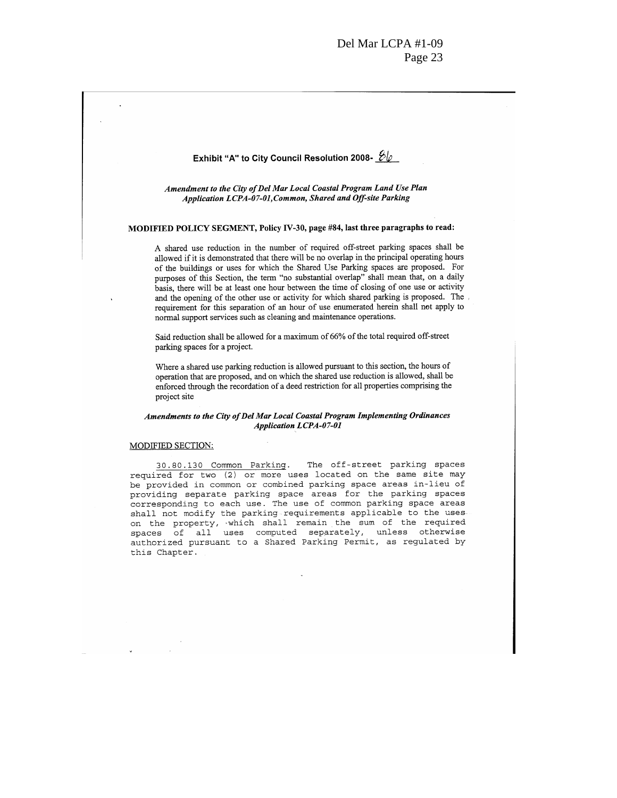# Exhibit "A" to City Council Resolution 2008-  $\mathscr{D}\varphi$ Amendment to the City of Del Mar Local Coastal Program Land Use Plan Application LCPA-07-01, Common, Shared and Off-site Parking MODIFIED POLICY SEGMENT, Policy IV-30, page #84, last three paragraphs to read: A shared use reduction in the number of required off-street parking spaces shall be allowed if it is demonstrated that there will be no overlap in the principal operating hours of the buildings or uses for which the Shared Use Parking spaces are proposed. For purposes of this Section, the term "no substantial overlap" shall mean that, on a daily basis, there will be at least one hour between the time of closing of one use or activity and the opening of the other use or activity for which shared parking is proposed. The requirement for this separation of an hour of use enumerated herein shall not apply to normal support services such as cleaning and maintenance operations. Said reduction shall be allowed for a maximum of 66% of the total required off-street parking spaces for a project. Where a shared use parking reduction is allowed pursuant to this section, the hours of operation that are proposed, and on which the shared use reduction is allowed, shall be enforced through the recordation of a deed restriction for all properties comprising the project site Amendments to the City of Del Mar Local Coastal Program Implementing Ordinances **Application LCPA-07-01** MODIFIED SECTION: 30.80.130 Common Parking. The off-street parking spaces required for two (2) or more uses located on the same site may be provided in common or combined parking space areas in-lieu of

providing separate parking space areas for the parking spaces corresponding to each use. The use of common parking space areas shall not modify the parking requirements applicable to the useson the property, which shall remain the sum of the required spaces of all uses computed separately, unless otherwise authorized pursuant to a Shared Parking Permit, as regulated by this Chapter.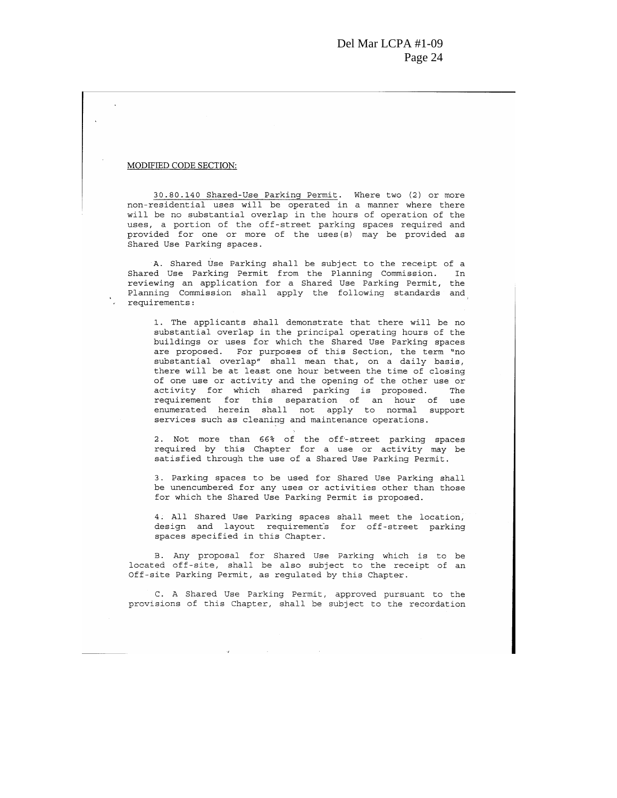#### MODIFIED CODE SECTION:

30.80.140 Shared-Use Parking Permit. Where two (2) or more non-residential uses will be operated in a manner where there will be no substantial overlap in the hours of operation of the uses, a portion of the off-street parking spaces required and provided for one or more of the uses (s) may be provided as Shared Use Parking spaces.

A. Shared Use Parking shall be subject to the receipt of a Shared Use Parking Permit from the Planning Commission. In reviewing an application for a Shared Use Parking Permit, the Planning Commission shall apply the following standards and : requirements:

> 1. The applicants shall demonstrate that there will be no substantial overlap in the principal operating hours of the buildings or uses for which the Shared Use Parking spaces are proposed. For purposes of this Section, the term "no<br>substantial overlap" shall mean that, on a daily basis, there will be at least one hour between the time of closing of one use or activity and the opening of the other use or activity for which shared parking is proposed. The requirement for this separation of an hour of use enumerated herein shall not apply to normal support services such as cleaning and maintenance operations.

> 2. Not more than 66% of the off-street parking spaces required by this Chapter for a use or activity may be satisfied through the use of a Shared Use Parking Permit.

> 3. Parking spaces to be used for Shared Use Parking shall be unencumbered for any uses or activities other than those for which the Shared Use Parking Permit is proposed.

4. All Shared Use Parking spaces shall meet the location, design and layout requirement's for off-street parking spaces specified in this Chapter.

B. Any proposal for Shared Use Parking which is to be located off-site, shall be also subject to the receipt of an Off-site Parking Permit, as regulated by this Chapter.

C. A Shared Use Parking Permit, approved pursuant to the provisions of this Chapter, shall be subject to the recordation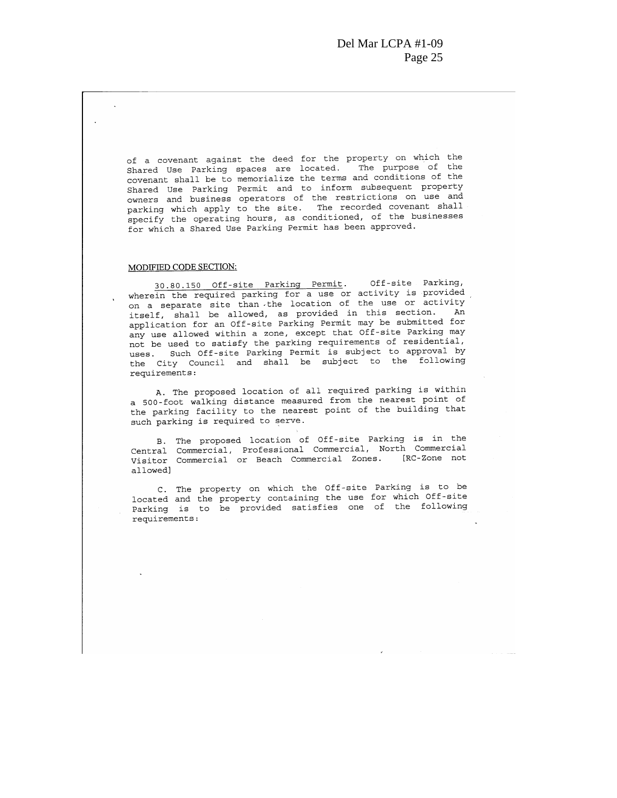of a covenant against the deed for the property on which the Shared Use Parking spaces are located. The purpose of the covenant shall be to memorialize the terms and conditions of the Shared Use Parking Permit and to inform subsequent property owners and business operators of the restrictions on use and parking which apply to the site. The recorded covenant shall specify the operating hours, as conditioned, of the businesses for which a Shared Use Parking Permit has been approved.

#### MODIFIED CODE SECTION:

Off-site Parking, 30.80.150 Off-site Parking Permit. wherein the required parking for a use or activity is provided on a separate site than the location of the use or activity itself, shall be allowed, as provided in this section. An application for an Off-site Parking Permit may be submitted for any use allowed within a zone, except that Off-site Parking may not be used to satisfy the parking requirements of residential, uses. Such Off-site Parking Permit is subject to approval by the City Council and shall be subject to the following requirements:

A. The proposed location of all required parking is within a 500-foot walking distance measured from the nearest point of the parking facility to the nearest point of the building that such parking is required to serve.

B. The proposed location of Off-site Parking is in the Central Commercial, Professional Commercial, North Commercial Visitor Commercial or Beach Commercial Zones. [RC-Zone not allowed]

C. The property on which the Off-site Parking is to be located and the property containing the use for which Off-site Parking is to be provided satisfies one of the following requirements: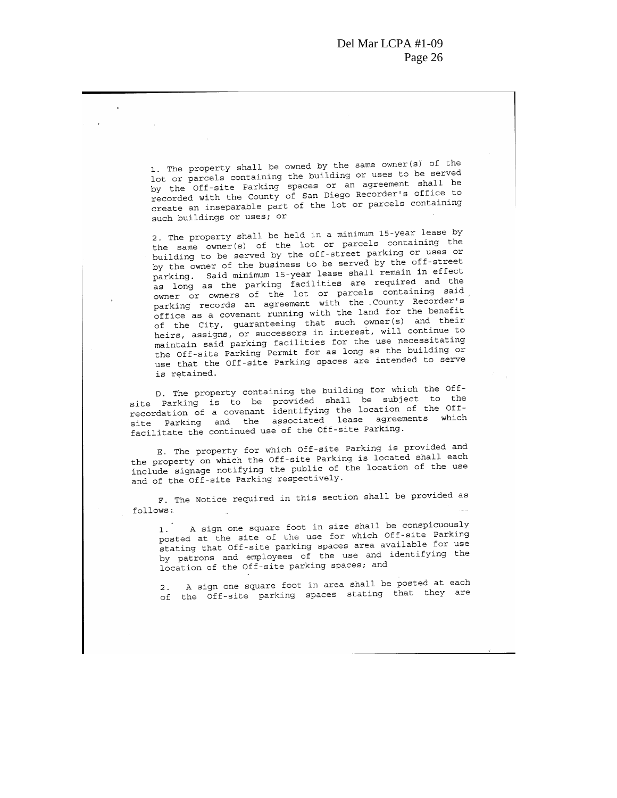1. The property shall be owned by the same owner(s) of the lot or parcels containing the building or uses to be served by the Off-site Parking spaces or an agreement shall be recorded with the County of San Diego Recorder's office to create an inseparable part of the lot or parcels containing such buildings or uses; or

2. The property shall be held in a minimum 15-year lease by the same owner(s) of the lot or parcels containing the building to be served by the off-street parking or uses or by the owner of the business to be served by the off-street parking. Said minimum 15-year lease shall remain in effect as long as the parking facilities are required and the owner or owners of the lot or parcels containing said parking records an agreement with the County Recorder's office as a covenant running with the land for the benefit of the City, guaranteeing that such owner(s) and their heirs, assigns, or successors in interest, will continue to maintain said parking facilities for the use necessitating the Off-site Parking Permit for as long as the building or use that the Off-site Parking spaces are intended to serve is retained.

D. The property containing the building for which the Offsite Parking is to be provided shall be subject to the recordation of a covenant identifying the location of the Offsite Parking and the associated lease agreements which facilitate the continued use of the Off-site Parking.

E. The property for which Off-site Parking is provided and the property on which the Off-site Parking is located shall each include signage notifying the public of the location of the use and of the Off-site Parking respectively.

F. The Notice required in this section shall be provided as follows:

A sign one square foot in size shall be conspicuously  $1.$ posted at the site of the use for which Off-site Parking stating that Off-site parking spaces area available for use by patrons and employees of the use and identifying the location of the Off-site parking spaces; and

A sign one square foot in area shall be posted at each  $2.$ of the Off-site parking spaces stating that they are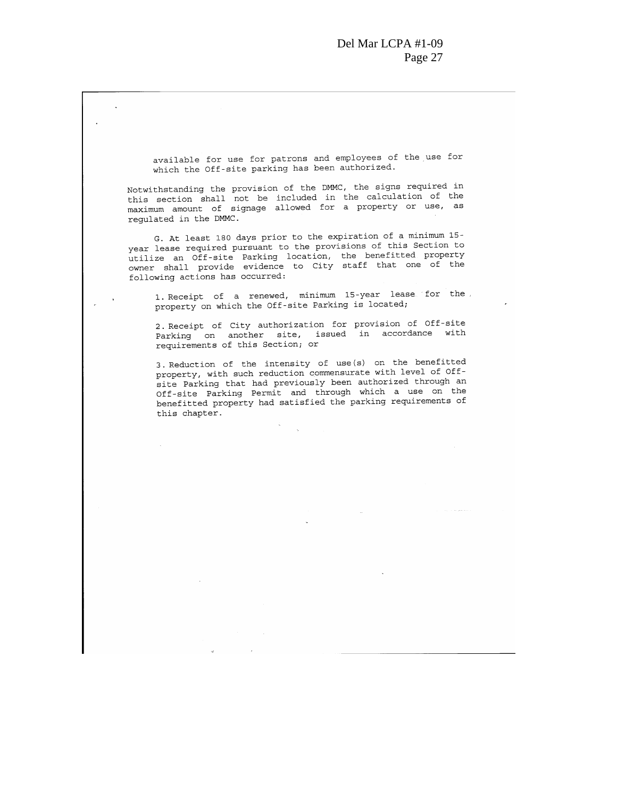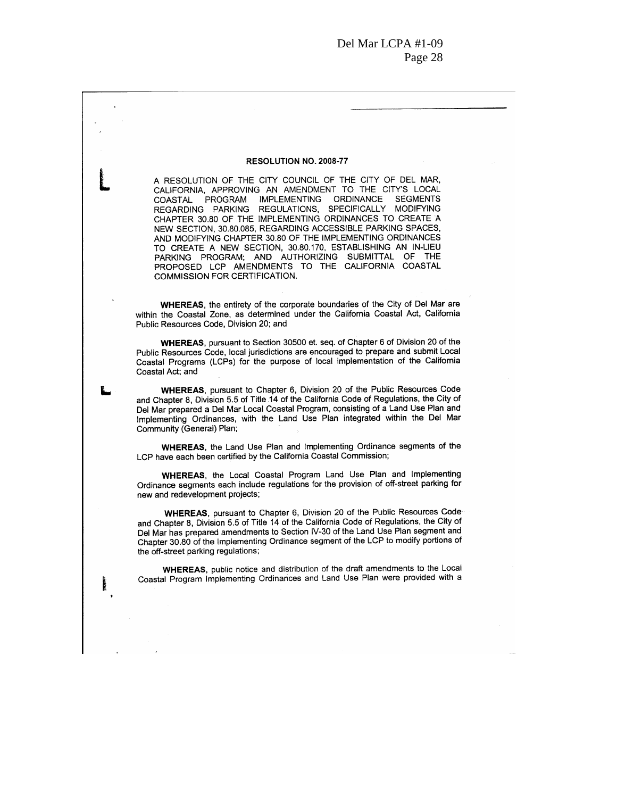#### RESOLUTION NO. 2008-77

A RESOLUTION OF THE CITY COUNCIL OF THE CITY OF DEL MAR, CALIFORNIA, APPROVING AN AMENDMENT TO THE CITY'S LOCAL COASTAL PROGRAM IMPLEMENTING ORDINANCE SEGMENTS REGARDING PARKING REGULATIONS, SPECIFICALLY MODIFYING CHAPTER 30.80 OF THE IMPLEMENTING ORDINANCES TO CREATE A NEW SECTION, 30.80.085, REGARDING ACCESSIBLE PARKING SPACES, AND MODIFYING CHAPTER 30.80 OF THE IMPLEMENTING ORDINANCES TO CREATE A NEW SECTION, 30.80.170, ESTABLISHING AN IN-LIEU PARKING PROGRAM; AND AUTHORIZING SUBMITTAL OF THE PROPOSED LCP AMENDMENTS TO THE CALIFORNIA COASTAL COMMISSION FOR CERTIFICATION.

WHEREAS, the entirety of the corporate boundaries of the City of Del Mar are within the Coastal Zone, as determined under the California Coastal Act, California Public Resources Code, Division 20; and

WHEREAS, pursuant to Section 30500 et. seq. of Chapter 6 of Division 20 of the Public Resources Code, local jurisdictions are encouraged to prepare and submit Local Coastal Programs (LCPs) for the purpose of local implementation of the California Coastal Act; and

WHEREAS, pursuant to Chapter 6, Division 20 of the Public Resources Code and Chapter 8, Division 5.5 of Title 14 of the California Code of Regulations, the City of Del Mar prepared a Del Mar Local Coastal Program, consisting of a Land Use Plan and Implementing Ordinances, with the Land Use Plan integrated within the Del Mar Community (General) Plan;

**WHEREAS.** the Land Use Plan and Implementing Ordinance segments of the LCP have each been certified by the California Coastal Commission;

WHEREAS, the Local Coastal Program Land Use Plan and Implementing Ordinance segments each include regulations for the provision of off-street parking for new and redevelopment projects;

WHEREAS, pursuant to Chapter 6, Division 20 of the Public Resources Code and Chapter 8, Division 5.5 of Title 14 of the California Code of Regulations, the City of Del Mar has prepared amendments to Section IV-30 of the Land Use Plan segment and Chapter 30.80 of the Implementing Ordinance segment of the LCP to modify portions of the off-street parking regulations;

WHEREAS, public notice and distribution of the draft amendments to the Local Coastal Program Implementing Ordinances and Land Use Plan were provided with a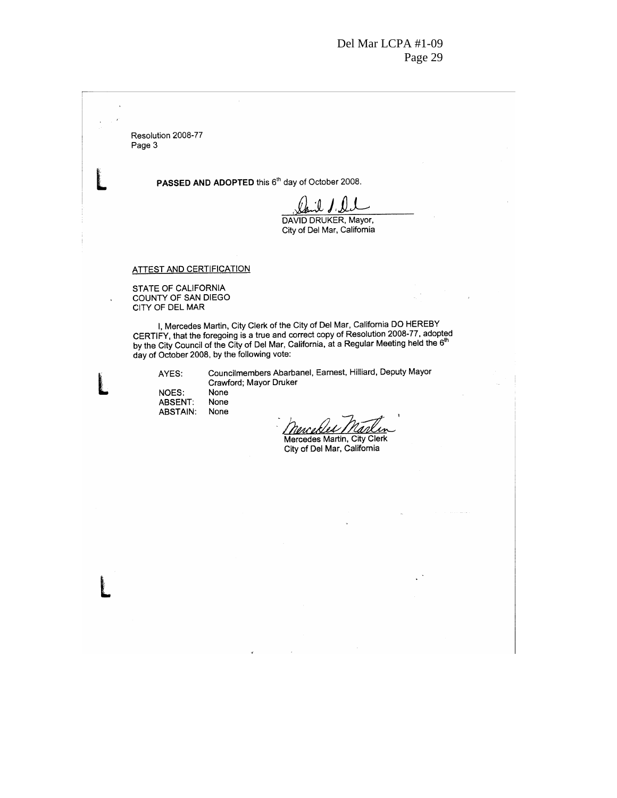Resolution 2008-77 Page 3

PASSED AND ADOPTED this 6<sup>th</sup> day of October 2008.

-11

DAVID DRUKER, Mayor, City of Del Mar, California

#### **ATTEST AND CERTIFICATION**

STATE OF CALIFORNIA<br>COUNTY OF SAN DIEGO CITY OF DEL MAR

I, Mercedes Martin, City Clerk of the City of Del Mar, California DO HEREBY CERTIFY, that the foregoing is a true and correct copy of Resolution 2008-77, adopted by the City Council of the City of Del Mar, California, at a Regular Meeting held the 6<sup>th</sup> day of October 2008, by the following vote:

AYES:

 $\ddot{\phantom{1}}$ 

Councilmembers Abarbanel, Earnest, Hilliard, Deputy Mayor Crawford; Mayor Druker

NOES: None **ABSENT:** None **ABSTAIN:** None

nence.

Mercedes Martin, City Clerk City of Del Mar, California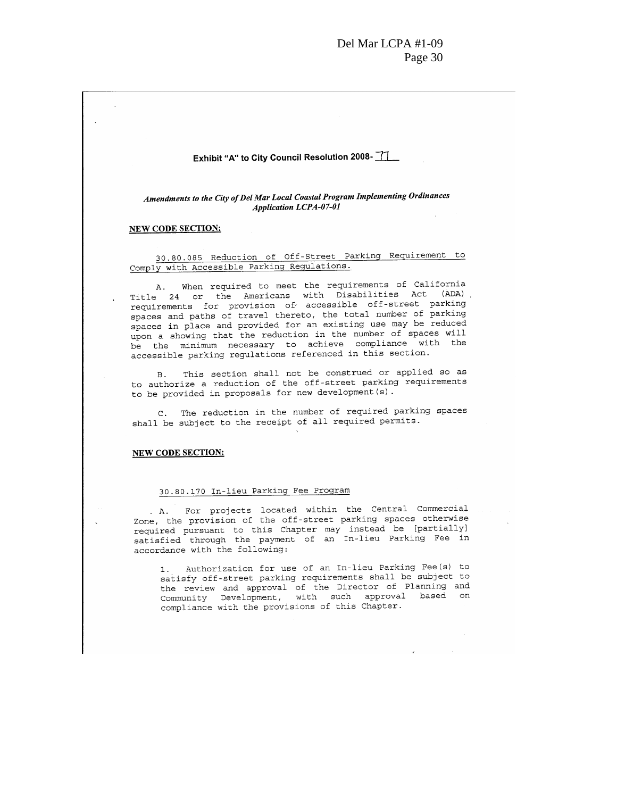#### Exhibit "A" to City Council Resolution 2008-

Amendments to the City of Del Mar Local Coastal Program Implementing Ordinances **Application LCPA-07-01** 

#### NEW CODE SECTION:

30.80.085 Reduction of Off-Street Parking Requirement to Comply with Accessible Parking Regulations.

A. When required to meet the requirements of California Title 24 or the Americans with Disabilities Act (ADA), requirements for provision of accessible off-street parking spaces and paths of travel thereto, the total number of parking spaces in place and provided for an existing use may be reduced upon a showing that the reduction in the number of spaces will be the minimum necessary to achieve compliance with the accessible parking regulations referenced in this section.

B. This section shall not be construed or applied so as to authorize a reduction of the off-street parking requirements to be provided in proposals for new development (s).

C. The reduction in the number of required parking spaces shall be subject to the receipt of all required permits.

#### **NEW CODE SECTION:**

#### 30.80.170 In-lieu Parking Fee Program

. A. For projects located within the Central Commercial Zone, the provision of the off-street parking spaces otherwise required pursuant to this Chapter may instead be [partially] satisfied through the payment of an In-lieu Parking Fee in accordance with the following:

1. Authorization for use of an In-lieu Parking Fee(s) to satisfy off-street parking requirements shall be subject to the review and approval of the Director of Planning and Community Development, with such approval based on compliance with the provisions of this Chapter.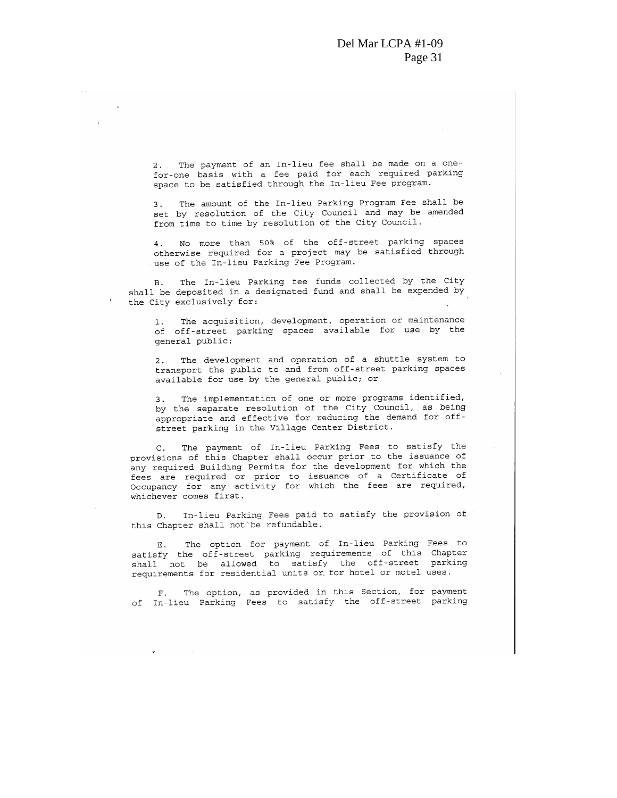2. The payment of an In-lieu fee shall be made on a onefor-one basis with a fee paid for each required parking space to be satisfied through the In-lieu Fee program.

The amount of the In-lieu Parking Program Fee shall be  $3<sup>1</sup>$ set by resolution of the City Council and may be amended from time to time by resolution of the City Council.

4. No more than 50% of the off-street parking spaces otherwise required for a project may be satisfied through use of the In-lieu Parking Fee Program.

B. The In-lieu Parking fee funds collected by the City shall be deposited in a designated fund and shall be expended by the City exclusively for:

The acquisition, development, operation or maintenance  $1.$ of off-street parking spaces available for use by the general public;

The development and operation of a shuttle system to  $2.$ transport the public to and from off-street parking spaces available for use by the general public; or

The implementation of one or more programs identified,  $3.$ by the separate resolution of the City Council, as being appropriate and effective for reducing the demand for offstreet parking in the Village Center District.

The payment of In-lieu Parking Fees to satisfy the  $\mathsf{C}$ . provisions of this Chapter shall occur prior to the issuance of any required Building Permits for the development for which the fees are required or prior to issuance of a Certificate of Occupancy for any activity for which the fees are required, whichever comes first.

D. In-lieu Parking Fees paid to satisfy the provision of this Chapter shall not be refundable.

The option for payment of In-lieu Parking Fees to Ε. satisfy the off-street parking requirements of this Chapter shall not be allowed to satisfy the off-street parking requirements for residential units or for hotel or motel uses.

The option, as provided in this Section, for payment  $F$ of In-lieu Parking Fees to satisfy the off-street parking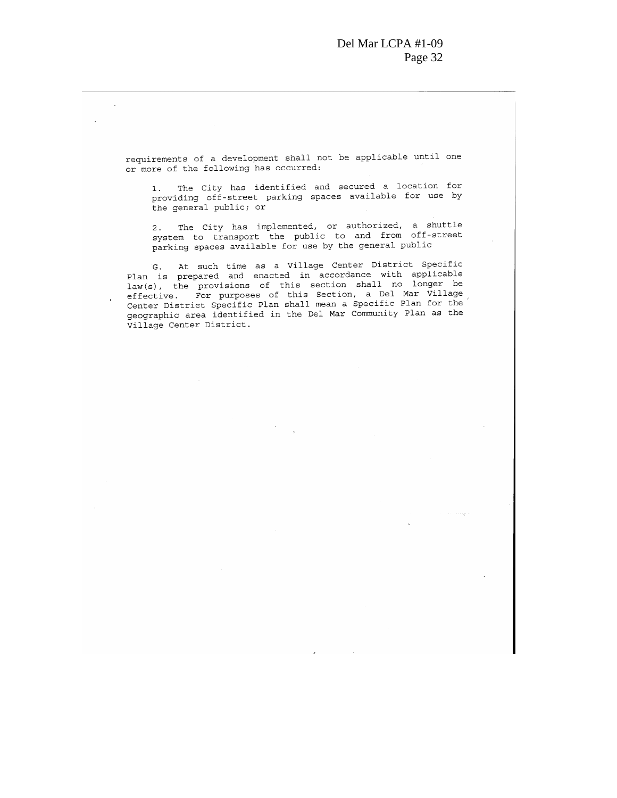requirements of a development shall not be applicable until one or more of the following has occurred:

 $\mathcal{L}$ 

÷.

1. The City has identified and secured a location for providing off-street parking spaces available for use by the general public; or

2. The City has implemented, or authorized, a shuttle system to transport the public to and from off-street parking spaces available for use by the general public

G. At such time as a Village Center District Specific<br>Plan is prepared and enacted in accordance with applicable law(s), the provisions of this section shall no longer be effective. For purposes of this Section, a Del Mar Village Center District Specific Plan shall mean a Specific Plan for the geographic area identified in the Del Mar Community Plan as the Village Center District.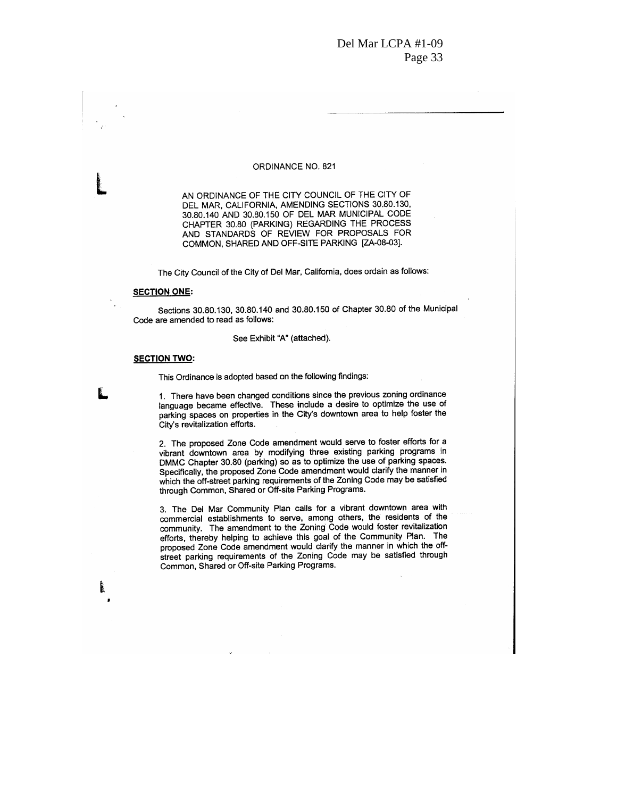#### ORDINANCE NO. 821

AN ORDINANCE OF THE CITY COUNCIL OF THE CITY OF DEL MAR, CALIFORNIA, AMENDING SECTIONS 30.80.130, 30.80.140 AND 30.80.150 OF DEL MAR MUNICIPAL CODE CHAPTER 30.80 (PARKING) REGARDING THE PROCESS AND STANDARDS OF REVIEW FOR PROPOSALS FOR COMMON, SHARED AND OFF-SITE PARKING [ZA-08-03].

The City Council of the City of Del Mar, California, does ordain as follows:

#### **SECTION ONE:**

Sections 30.80.130, 30.80.140 and 30.80.150 of Chapter 30.80 of the Municipal Code are amended to read as follows:

#### See Exhibit "A" (attached).

#### **SECTION TWO:**

This Ordinance is adopted based on the following findings:

1. There have been changed conditions since the previous zoning ordinance language became effective. These include a desire to optimize the use of parking spaces on properties in the City's downtown area to help foster the City's revitalization efforts.

2. The proposed Zone Code amendment would serve to foster efforts for a vibrant downtown area by modifying three existing parking programs in DMMC Chapter 30.80 (parking) so as to optimize the use of parking spaces. Specifically, the proposed Zone Code amendment would clarify the manner in which the off-street parking requirements of the Zoning Code may be satisfied through Common, Shared or Off-site Parking Programs.

3. The Del Mar Community Plan calls for a vibrant downtown area with commercial establishments to serve, among others, the residents of the community. The amendment to the Zoning Code would foster revitalization efforts, thereby helping to achieve this goal of the Community Plan. The proposed Zone Code amendment would clarify the manner in which the offstreet parking requirements of the Zoning Code may be satisfied through Common, Shared or Off-site Parking Programs.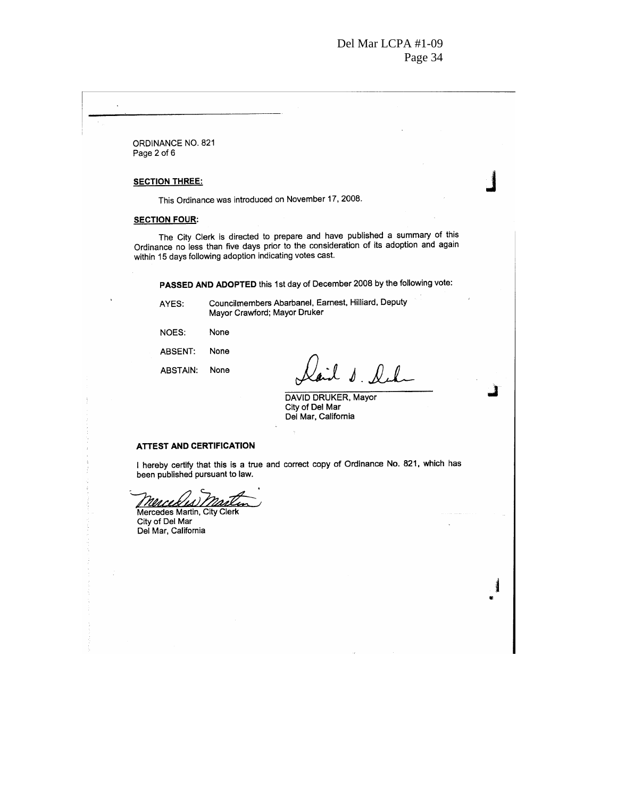ORDINANCE NO. 821 Page 2 of 6

#### **SECTION THREE:**

This Ordinance was introduced on November 17, 2008.

#### **SECTION FOUR:**

The City Clerk is directed to prepare and have published a summary of this Ordinance no less than five days prior to the consideration of its adoption and again within 15 days following adoption indicating votes cast.

PASSED AND ADOPTED this 1st day of December 2008 by the following vote:

AYES:

Councilmembers Abarbanel, Earnest, Hilliard, Deputy Mayor Crawford; Mayor Druker

NOES: None

ABSENT: None

**ABSTAIN:** None

l s. leh

1

Î

DAVID DRUKER, Mayor City of Del Mar Del Mar, California

#### **ATTEST AND CERTIFICATION**

I hereby certify that this is a true and correct copy of Ordinance No. 821, which has been published pursuant to law.

<u> Mercesis</u> ı Mercedes Martin, City Clerk

City of Del Mar Del Mar, California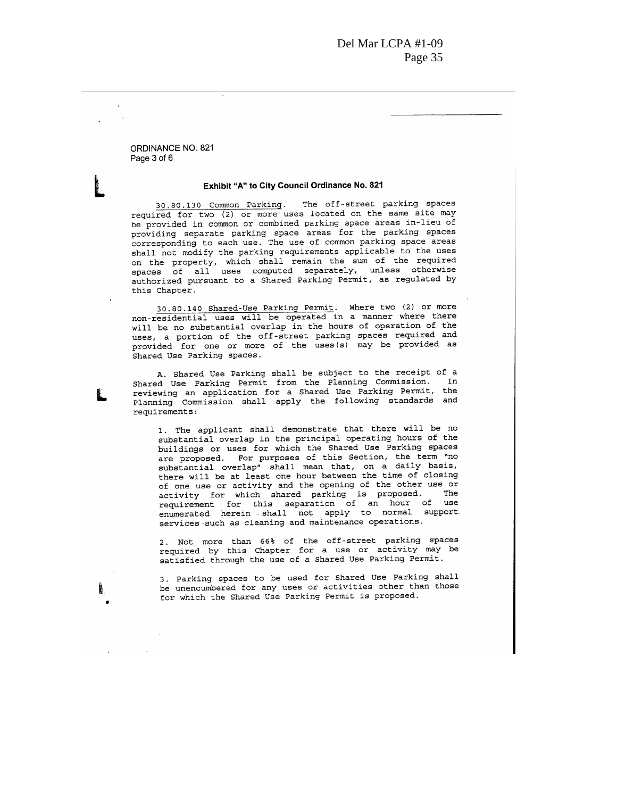ORDINANCE NO. 821 Page 3 of 6

 $\ddot{\phantom{0}}$ 

#### Exhibit "A" to City Council Ordinance No. 821

30.80.130 Common Parking. The off-street parking spaces required for two (2) or more uses located on the same site may be provided in common or combined parking space areas in-lieu of providing separate parking space areas for the parking spaces corresponding to each use. The use of common parking space areas shall not modify the parking requirements applicable to the uses on the property, which shall remain the sum of the required spaces of all uses computed separately, unless otherwise<br>authorized pursuant to a Shared Parking Permit, as regulated by this Chapter.

30.80.140 Shared-Use Parking Permit. Where two (2) or more non-residential uses will be operated in a manner where there will be no substantial overlap in the hours of operation of the uses, a portion of the off-street parking spaces required and<br>provided for one or more of the uses(s) may be provided as Shared Use Parking spaces.

A. Shared Use Parking shall be subject to the receipt of a Shared Use Parking Permit from the Planning Commission. In reviewing an application for a Shared Use Parking Permit, the Planning Commission shall apply the following standards and requirements:

1. The applicant shall demonstrate that there will be no substantial overlap in the principal operating hours of the buildings or uses for which the Shared Use Parking spaces are proposed. For purposes of this Section, the term "no substantial overlap" shall mean that, on a daily basis, there will be at least one hour between the time of closing of one use or activity and the opening of the other use or activity for which shared parking is proposed. The requirement for this separation of an hour of use enumerated herein shall not apply to normal support services such as cleaning and maintenance operations.

2. Not more than 66% of the off-street parking spaces required by this Chapter for a use or activity may be satisfied through the use of a Shared Use Parking Permit.

3. Parking spaces to be used for Shared Use Parking shall be unencumbered for any uses or activities other than those for which the Shared Use Parking Permit is proposed.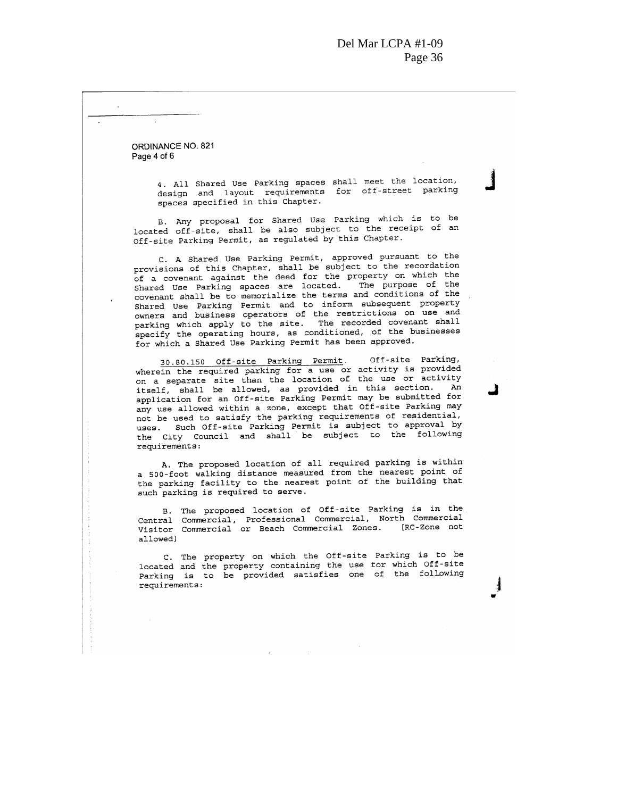ORDINANCE NO. 821 Page 4 of 6

 $\Delta$ 

4. All Shared Use Parking spaces shall meet the location, design and layout requirements for off-street parking spaces specified in this Chapter.

B. Any proposal for Shared Use Parking which is to be located off-site, shall be also subject to the receipt of an Off-site Parking Permit, as regulated by this Chapter.

C. A Shared Use Parking Permit, approved pursuant to the provisions of this Chapter, shall be subject to the recordation of a covenant against the deed for the property on which the<br>Shared Use Parking spaces are located. The purpose of the covenant shall be to memorialize the terms and conditions of the Shared Use Parking Permit and to inform subsequent property owners and business operators of the restrictions on use and<br>parking which apply to the site. The recorded covenant shall specify the operating hours, as conditioned, of the businesses for which a Shared Use Parking Permit has been approved.

Off-site Parking, 30.80.150 Off-site Parking Permit. wherein the required parking for a use or activity is provided on a separate site than the location of the use or activity itself, shall be allowed, as provided in this section. An application for an Off-site Parking Permit may be submitted for any use allowed within a zone, except that Off-site Parking may not be used to satisfy the parking requirements of residential, uses. Such Off-site Parking Permit is subject to approval by the City Council and shall be subject to the following requirements:

A. The proposed location of all required parking is within a 500-foot walking distance measured from the nearest point of the parking facility to the nearest point of the building that such parking is required to serve.

B. The proposed location of Off-site Parking is in the Central Commercial, Professional Commercial, North Commercial [RC-Zone not Visitor Commercial or Beach Commercial Zones. allowed]

C. The property on which the Off-site Parking is to be located and the property containing the use for which Off-site Parking is to be provided satisfies one of the following requirements: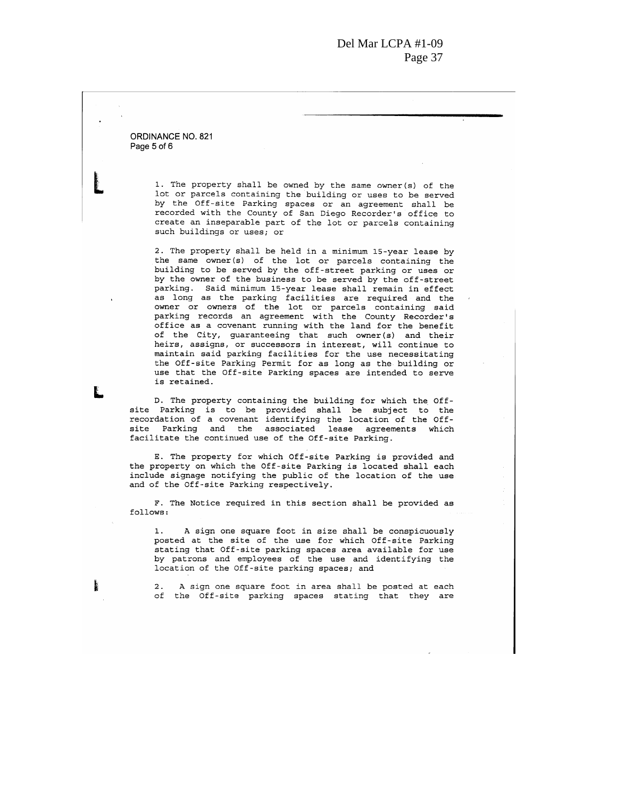ORDINANCE NO. 821 Page 5 of 6

> 1. The property shall be owned by the same owner (s) of the lot or parcels containing the building or uses to be served by the Off-site Parking spaces or an agreement shall be<br>recorded with the County of San Diego Recorder's office to create an inseparable part of the lot or parcels containing such buildings or uses; or

> 2. The property shall be held in a minimum 15-year lease by the same owner(s) of the lot or parcels containing the building to be served by the off-street parking or uses or by the owner of the business to be served by the off-street parking. Said minimum 15-year lease shall remain in effect as long as the parking facilities are required and the<br>owner or owners of the lot or parcels containing said parking records an agreement with the County Recorder's office as a covenant running with the land for the benefit of the City, guaranteeing that such owner(s) and their heirs, assigns, or successors in interest, will continue to maintain said parking facilities for the use necessitating the Off-site Parking Permit for as long as the building or use that the Off-site Parking spaces are intended to serve is retained.

D. The property containing the building for which the Offsite Parking is to be provided shall be subject to the<br>recordation of a covenant identifying the location of the Offsite Parking and the associated lease agreements which facilitate the continued use of the Off-site Parking.

E. The property for which Off-site Parking is provided and the property on which the Off-site Parking is located shall each include signage notifying the public of the location of the use and of the Off-site Parking respectively.

F. The Notice required in this section shall be provided as follows:

 $1.$ A sign one square foot in size shall be conspicuously posted at the site of the use for which Off-site Parking stating that Off-site parking spaces area available for use by patrons and employees of the use and identifying the location of the Off-site parking spaces; and

A sign one square foot in area shall be posted at each  $2.$ of the Off-site parking spaces stating that they are

ļ,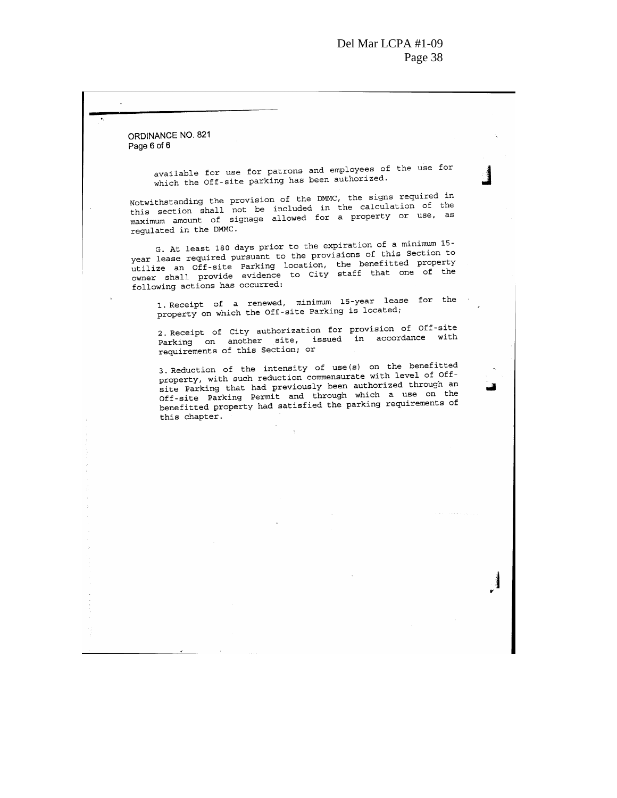ORDINANCE NO. 821 Page 6 of 6

 $\ddot{\phantom{a}}$ 

available for use for patrons and employees of the use for which the Off-site parking has been authorized.

Notwithstanding the provision of the DMMC, the signs required in this section shall not be included in the calculation of the maximum amount of signage allowed for a property or use, as regulated in the DMMC.

G. At least 180 days prior to the expiration of a minimum 15year lease required pursuant to the provisions of this Section to utilize an Off-site Parking location, the benefitted property owner shall provide evidence to City staff that one of the following actions has occurred:

1. Receipt of a renewed, minimum 15-year lease for the property on which the Off-site Parking is located;

2. Receipt of City authorization for provision of Off-site<br>Parking on another site, issued in accordance with requirements of this Section; or

3. Reduction of the intensity of use(s) on the benefitted property, with such reduction commensurate with level of Offsite Parking that had previously been authorized through an Off-site Parking Permit and through which a use on the benefitted property had satisfied the parking requirements of this chapter.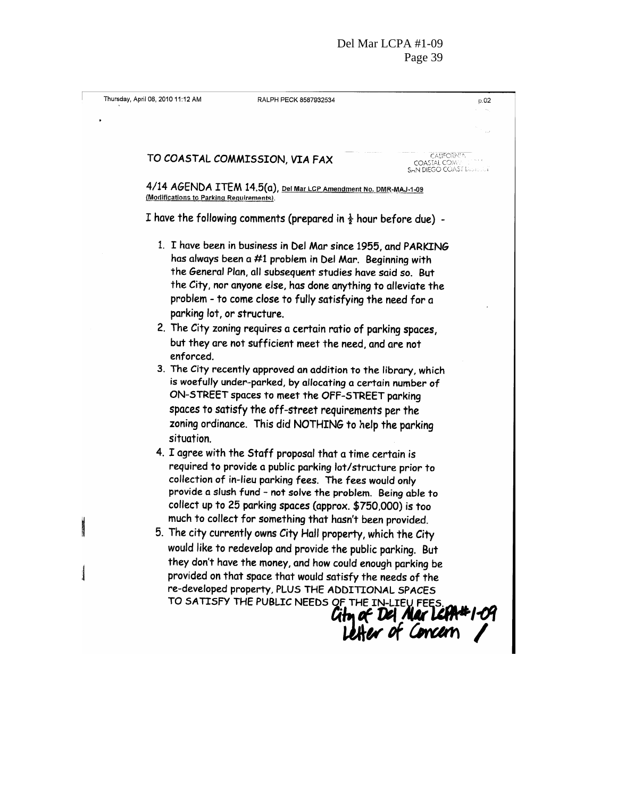|                                                                                                                                                                                             | Thursday, April 08, 2010 11:12 AM | RALPH PECK 8587932534                                                                                                                                                                                                                                                                                                                                                        | p.02                                                                        |
|---------------------------------------------------------------------------------------------------------------------------------------------------------------------------------------------|-----------------------------------|------------------------------------------------------------------------------------------------------------------------------------------------------------------------------------------------------------------------------------------------------------------------------------------------------------------------------------------------------------------------------|-----------------------------------------------------------------------------|
|                                                                                                                                                                                             |                                   |                                                                                                                                                                                                                                                                                                                                                                              |                                                                             |
|                                                                                                                                                                                             |                                   |                                                                                                                                                                                                                                                                                                                                                                              |                                                                             |
|                                                                                                                                                                                             |                                   | TO COASTAL COMMISSION, VIA FAX                                                                                                                                                                                                                                                                                                                                               | <b>CALIFORNIA</b><br><b>COASTAL COME</b><br><b>SAN DIEGO COAST Discount</b> |
| 4/14 AGENDA ITEM 14.5(a), Del Mar LCP Amendment No. DMR-MAJ-1-09<br>(Modifications to Parking Requirements).<br>I have the following comments (prepared in $\frac{1}{2}$ hour before due) - |                                   |                                                                                                                                                                                                                                                                                                                                                                              |                                                                             |
|                                                                                                                                                                                             |                                   |                                                                                                                                                                                                                                                                                                                                                                              |                                                                             |
|                                                                                                                                                                                             |                                   | 4. I agree with the Staff proposal that a time certain is<br>required to provide a public parking lot/structure prior to<br>collection of in-lieu parking fees. The fees would only<br>provide a slush fund - not solve the problem. Being able to<br>collect up to 25 parking spaces (approx. \$750,000) is too<br>much to collect for something that hasn't been provided. |                                                                             |
| <b>Continued</b>                                                                                                                                                                            |                                   | 5. The city currently owns City Hall property, which the City                                                                                                                                                                                                                                                                                                                |                                                                             |
|                                                                                                                                                                                             |                                   | would like to redevelop and provide the public parking. But<br>they don't have the money, and how could enough parking be<br>provided on that space that would satisfy the needs of the<br>re-developed property, PLUS THE ADDITIONAL SPACES<br>TO SATISFY THE PUBLIC NEEDS OF THE IN-LIEV FEES.                                                                             | City of Del Mar Leth&1-04<br>Letter of Concern                              |